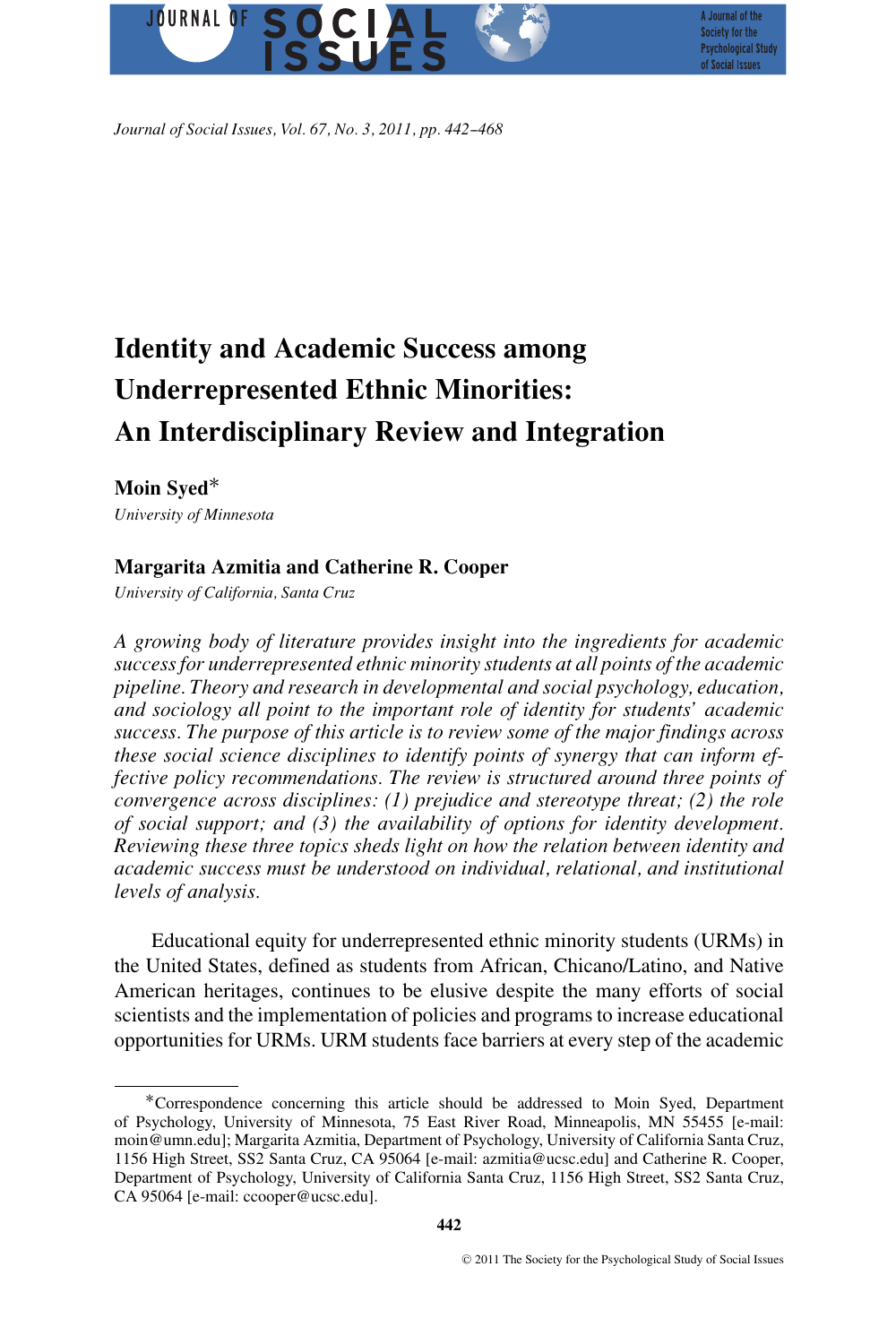

*Journal of Social Issues, Vol. 67, No. 3, 2011, pp. 442--468*

# **Identity and Academic Success among Underrepresented Ethnic Minorities: An Interdisciplinary Review and Integration**

**Moin Syed**∗ *University of Minnesota*

# **Margarita Azmitia and Catherine R. Cooper**

*University of California, Santa Cruz*

*A growing body of literature provides insight into the ingredients for academic success for underrepresented ethnic minority students at all points of the academic pipeline. Theory and research in developmental and social psychology, education, and sociology all point to the important role of identity for students' academic success. The purpose of this article is to review some of the major findings across these social science disciplines to identify points of synergy that can inform effective policy recommendations. The review is structured around three points of convergence across disciplines: (1) prejudice and stereotype threat; (2) the role of social support; and (3) the availability of options for identity development. Reviewing these three topics sheds light on how the relation between identity and academic success must be understood on individual, relational, and institutional levels of analysis.*

Educational equity for underrepresented ethnic minority students (URMs) in the United States, defined as students from African, Chicano/Latino, and Native American heritages, continues to be elusive despite the many efforts of social scientists and the implementation of policies and programs to increase educational opportunities for URMs. URM students face barriers at every step of the academic

<sup>∗</sup>Correspondence concerning this article should be addressed to Moin Syed, Department of Psychology, University of Minnesota, 75 East River Road, Minneapolis, MN 55455 [e-mail: moin@umn.edu]; Margarita Azmitia, Department of Psychology, University of California Santa Cruz, 1156 High Street, SS2 Santa Cruz, CA 95064 [e-mail: azmitia@ucsc.edu] and Catherine R. Cooper, Department of Psychology, University of California Santa Cruz, 1156 High Street, SS2 Santa Cruz, CA 95064 [e-mail: ccooper@ucsc.edu].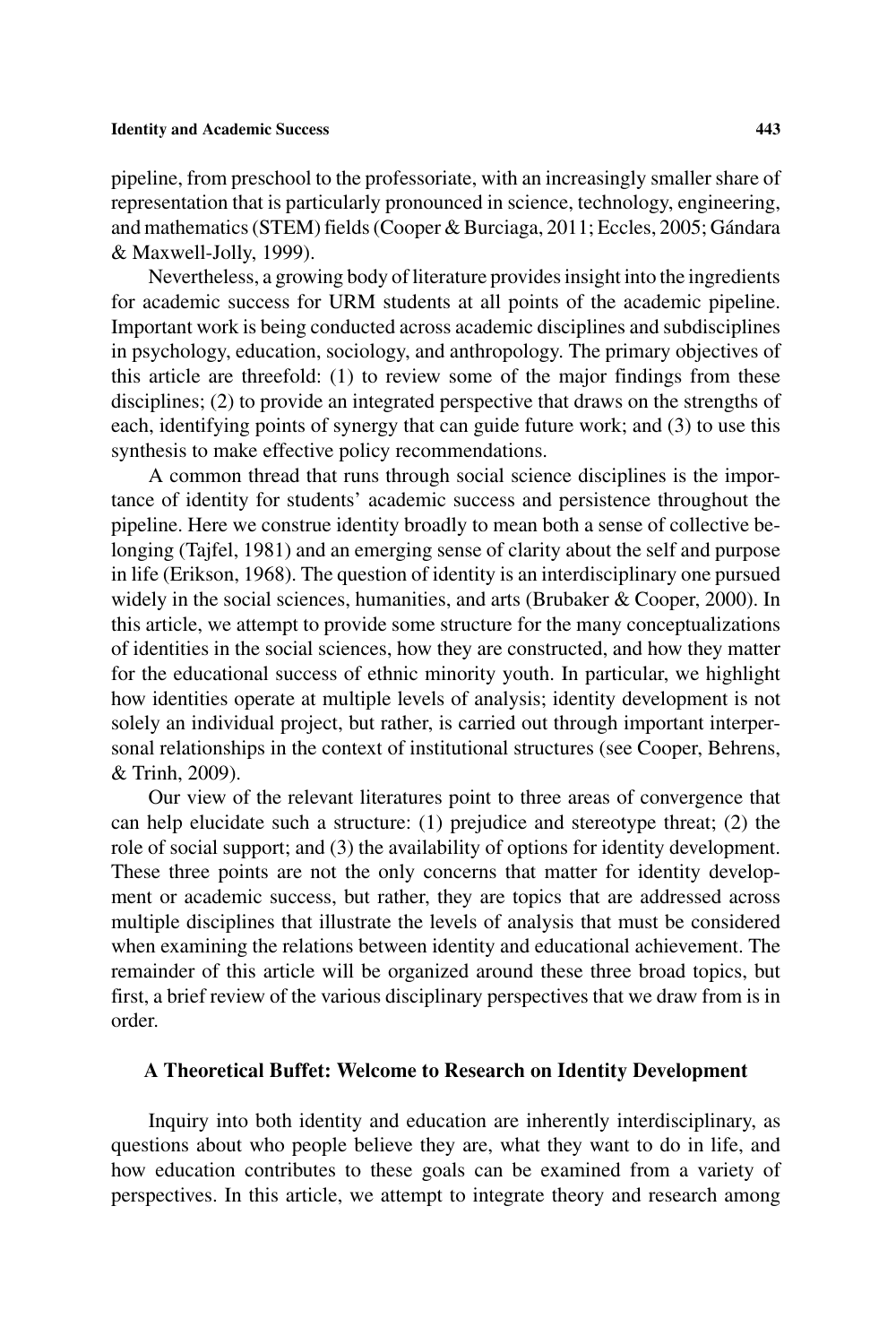pipeline, from preschool to the professoriate, with an increasingly smaller share of representation that is particularly pronounced in science, technology, engineering, and mathematics (STEM) fields (Cooper & Burciaga, 2011; Eccles, 2005; Gándara & Maxwell-Jolly, 1999).

Nevertheless, a growing body of literature provides insight into the ingredients for academic success for URM students at all points of the academic pipeline. Important work is being conducted across academic disciplines and subdisciplines in psychology, education, sociology, and anthropology. The primary objectives of this article are threefold: (1) to review some of the major findings from these disciplines; (2) to provide an integrated perspective that draws on the strengths of each, identifying points of synergy that can guide future work; and (3) to use this synthesis to make effective policy recommendations.

A common thread that runs through social science disciplines is the importance of identity for students' academic success and persistence throughout the pipeline. Here we construe identity broadly to mean both a sense of collective belonging (Tajfel, 1981) and an emerging sense of clarity about the self and purpose in life (Erikson, 1968). The question of identity is an interdisciplinary one pursued widely in the social sciences, humanities, and arts (Brubaker & Cooper, 2000). In this article, we attempt to provide some structure for the many conceptualizations of identities in the social sciences, how they are constructed, and how they matter for the educational success of ethnic minority youth. In particular, we highlight how identities operate at multiple levels of analysis; identity development is not solely an individual project, but rather, is carried out through important interpersonal relationships in the context of institutional structures (see Cooper, Behrens, & Trinh, 2009).

Our view of the relevant literatures point to three areas of convergence that can help elucidate such a structure: (1) prejudice and stereotype threat; (2) the role of social support; and (3) the availability of options for identity development. These three points are not the only concerns that matter for identity development or academic success, but rather, they are topics that are addressed across multiple disciplines that illustrate the levels of analysis that must be considered when examining the relations between identity and educational achievement. The remainder of this article will be organized around these three broad topics, but first, a brief review of the various disciplinary perspectives that we draw from is in order.

## **A Theoretical Buffet: Welcome to Research on Identity Development**

Inquiry into both identity and education are inherently interdisciplinary, as questions about who people believe they are, what they want to do in life, and how education contributes to these goals can be examined from a variety of perspectives. In this article, we attempt to integrate theory and research among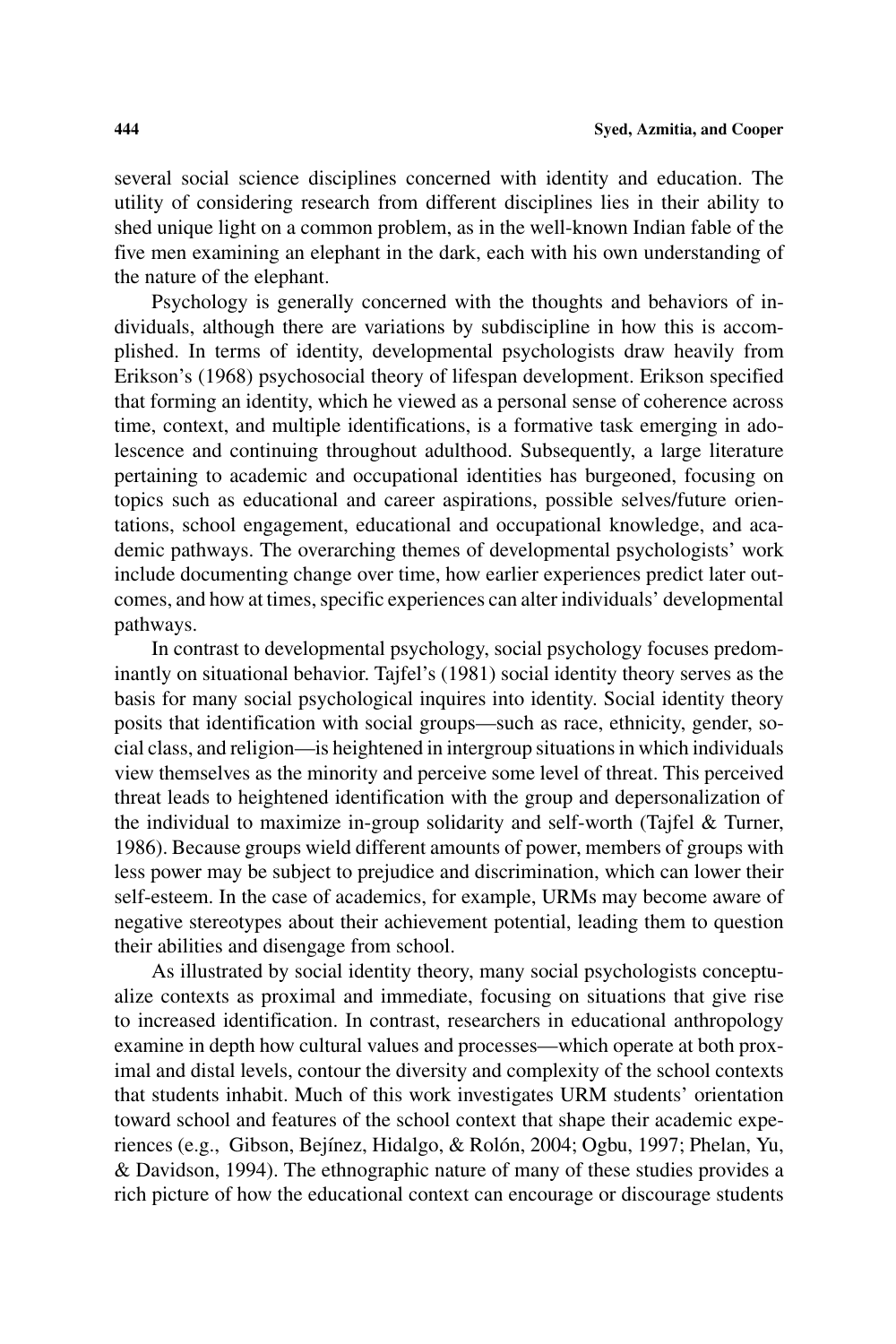several social science disciplines concerned with identity and education. The utility of considering research from different disciplines lies in their ability to shed unique light on a common problem, as in the well-known Indian fable of the five men examining an elephant in the dark, each with his own understanding of the nature of the elephant.

Psychology is generally concerned with the thoughts and behaviors of individuals, although there are variations by subdiscipline in how this is accomplished. In terms of identity, developmental psychologists draw heavily from Erikson's (1968) psychosocial theory of lifespan development. Erikson specified that forming an identity, which he viewed as a personal sense of coherence across time, context, and multiple identifications, is a formative task emerging in adolescence and continuing throughout adulthood. Subsequently, a large literature pertaining to academic and occupational identities has burgeoned, focusing on topics such as educational and career aspirations, possible selves/future orientations, school engagement, educational and occupational knowledge, and academic pathways. The overarching themes of developmental psychologists' work include documenting change over time, how earlier experiences predict later outcomes, and how at times, specific experiences can alter individuals' developmental pathways.

In contrast to developmental psychology, social psychology focuses predominantly on situational behavior. Tajfel's (1981) social identity theory serves as the basis for many social psychological inquires into identity. Social identity theory posits that identification with social groups—such as race, ethnicity, gender, social class, and religion—is heightened in intergroup situations in which individuals view themselves as the minority and perceive some level of threat. This perceived threat leads to heightened identification with the group and depersonalization of the individual to maximize in-group solidarity and self-worth (Tajfel & Turner, 1986). Because groups wield different amounts of power, members of groups with less power may be subject to prejudice and discrimination, which can lower their self-esteem. In the case of academics, for example, URMs may become aware of negative stereotypes about their achievement potential, leading them to question their abilities and disengage from school.

As illustrated by social identity theory, many social psychologists conceptualize contexts as proximal and immediate, focusing on situations that give rise to increased identification. In contrast, researchers in educational anthropology examine in depth how cultural values and processes—which operate at both proximal and distal levels, contour the diversity and complexity of the school contexts that students inhabit. Much of this work investigates URM students' orientation toward school and features of the school context that shape their academic experiences (e.g., Gibson, Bejínez, Hidalgo, & Rolón, 2004; Ogbu, 1997; Phelan, Yu, & Davidson, 1994). The ethnographic nature of many of these studies provides a rich picture of how the educational context can encourage or discourage students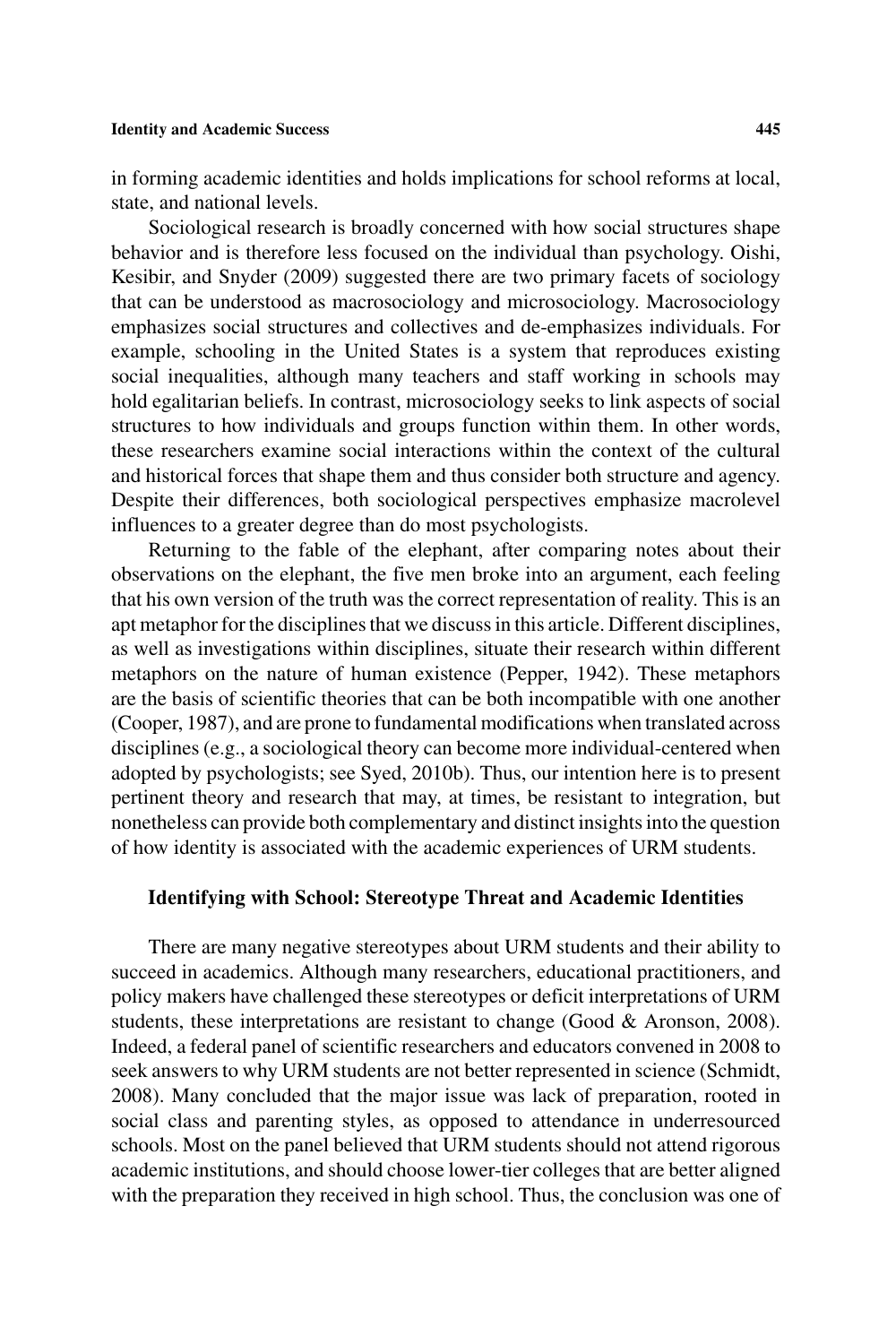in forming academic identities and holds implications for school reforms at local, state, and national levels.

Sociological research is broadly concerned with how social structures shape behavior and is therefore less focused on the individual than psychology. Oishi, Kesibir, and Snyder (2009) suggested there are two primary facets of sociology that can be understood as macrosociology and microsociology. Macrosociology emphasizes social structures and collectives and de-emphasizes individuals. For example, schooling in the United States is a system that reproduces existing social inequalities, although many teachers and staff working in schools may hold egalitarian beliefs. In contrast, microsociology seeks to link aspects of social structures to how individuals and groups function within them. In other words, these researchers examine social interactions within the context of the cultural and historical forces that shape them and thus consider both structure and agency. Despite their differences, both sociological perspectives emphasize macrolevel influences to a greater degree than do most psychologists.

Returning to the fable of the elephant, after comparing notes about their observations on the elephant, the five men broke into an argument, each feeling that his own version of the truth was the correct representation of reality. This is an apt metaphor for the disciplines that we discuss in this article. Different disciplines, as well as investigations within disciplines, situate their research within different metaphors on the nature of human existence (Pepper, 1942). These metaphors are the basis of scientific theories that can be both incompatible with one another (Cooper, 1987), and are prone to fundamental modifications when translated across disciplines (e.g., a sociological theory can become more individual-centered when adopted by psychologists; see Syed, 2010b). Thus, our intention here is to present pertinent theory and research that may, at times, be resistant to integration, but nonetheless can provide both complementary and distinct insights into the question of how identity is associated with the academic experiences of URM students.

# **Identifying with School: Stereotype Threat and Academic Identities**

There are many negative stereotypes about URM students and their ability to succeed in academics. Although many researchers, educational practitioners, and policy makers have challenged these stereotypes or deficit interpretations of URM students, these interpretations are resistant to change (Good & Aronson, 2008). Indeed, a federal panel of scientific researchers and educators convened in 2008 to seek answers to why URM students are not better represented in science (Schmidt, 2008). Many concluded that the major issue was lack of preparation, rooted in social class and parenting styles, as opposed to attendance in underresourced schools. Most on the panel believed that URM students should not attend rigorous academic institutions, and should choose lower-tier colleges that are better aligned with the preparation they received in high school. Thus, the conclusion was one of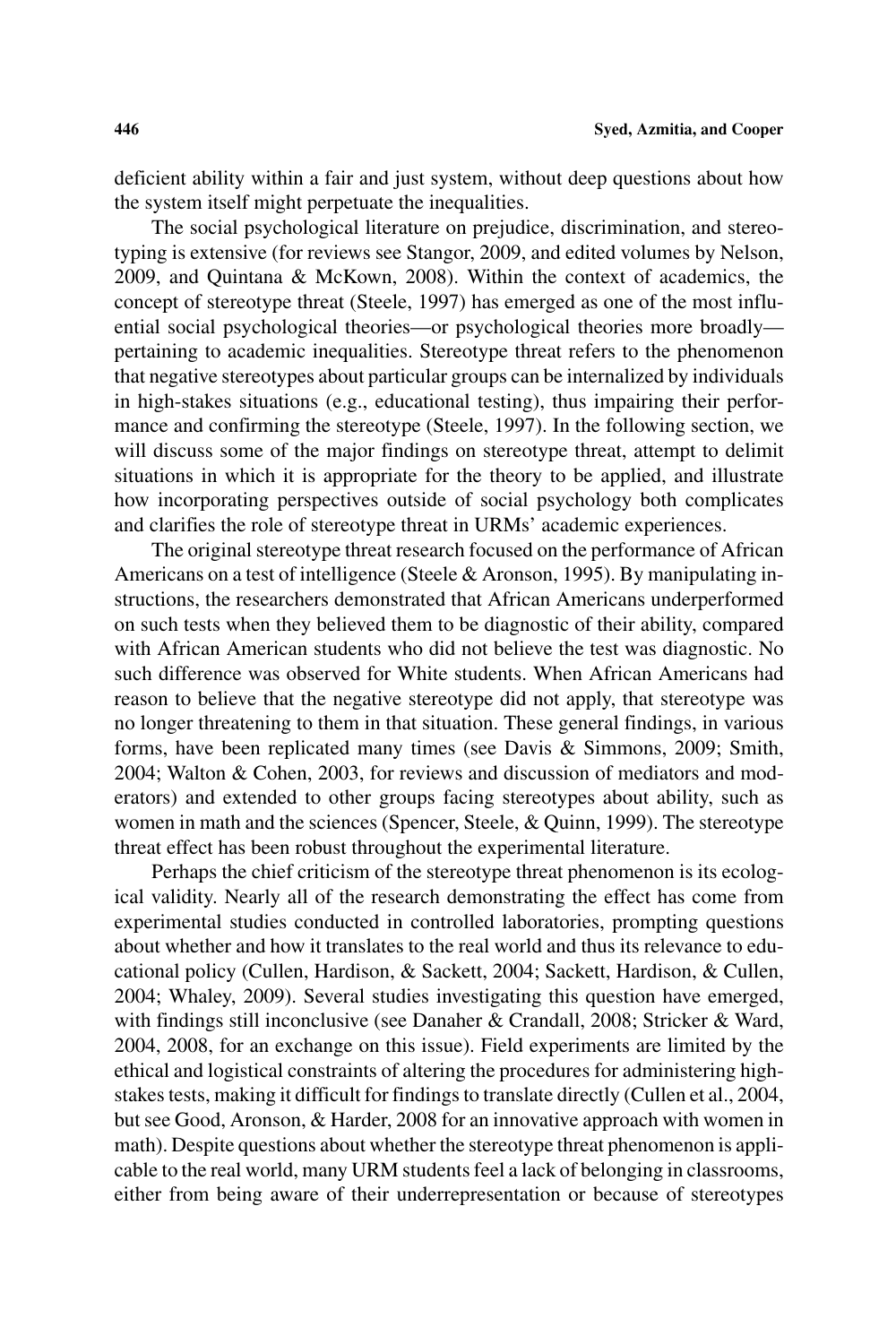deficient ability within a fair and just system, without deep questions about how the system itself might perpetuate the inequalities.

The social psychological literature on prejudice, discrimination, and stereotyping is extensive (for reviews see Stangor, 2009, and edited volumes by Nelson, 2009, and Quintana & McKown, 2008). Within the context of academics, the concept of stereotype threat (Steele, 1997) has emerged as one of the most influential social psychological theories—or psychological theories more broadly pertaining to academic inequalities. Stereotype threat refers to the phenomenon that negative stereotypes about particular groups can be internalized by individuals in high-stakes situations (e.g., educational testing), thus impairing their performance and confirming the stereotype (Steele, 1997). In the following section, we will discuss some of the major findings on stereotype threat, attempt to delimit situations in which it is appropriate for the theory to be applied, and illustrate how incorporating perspectives outside of social psychology both complicates and clarifies the role of stereotype threat in URMs' academic experiences.

The original stereotype threat research focused on the performance of African Americans on a test of intelligence (Steele & Aronson, 1995). By manipulating instructions, the researchers demonstrated that African Americans underperformed on such tests when they believed them to be diagnostic of their ability, compared with African American students who did not believe the test was diagnostic. No such difference was observed for White students. When African Americans had reason to believe that the negative stereotype did not apply, that stereotype was no longer threatening to them in that situation. These general findings, in various forms, have been replicated many times (see Davis & Simmons, 2009; Smith, 2004; Walton & Cohen, 2003, for reviews and discussion of mediators and moderators) and extended to other groups facing stereotypes about ability, such as women in math and the sciences (Spencer, Steele, & Quinn, 1999). The stereotype threat effect has been robust throughout the experimental literature.

Perhaps the chief criticism of the stereotype threat phenomenon is its ecological validity. Nearly all of the research demonstrating the effect has come from experimental studies conducted in controlled laboratories, prompting questions about whether and how it translates to the real world and thus its relevance to educational policy (Cullen, Hardison, & Sackett, 2004; Sackett, Hardison, & Cullen, 2004; Whaley, 2009). Several studies investigating this question have emerged, with findings still inconclusive (see Danaher & Crandall, 2008; Stricker & Ward, 2004, 2008, for an exchange on this issue). Field experiments are limited by the ethical and logistical constraints of altering the procedures for administering highstakes tests, making it difficult for findings to translate directly (Cullen et al., 2004, but see Good, Aronson, & Harder, 2008 for an innovative approach with women in math). Despite questions about whether the stereotype threat phenomenon is applicable to the real world, many URM students feel a lack of belonging in classrooms, either from being aware of their underrepresentation or because of stereotypes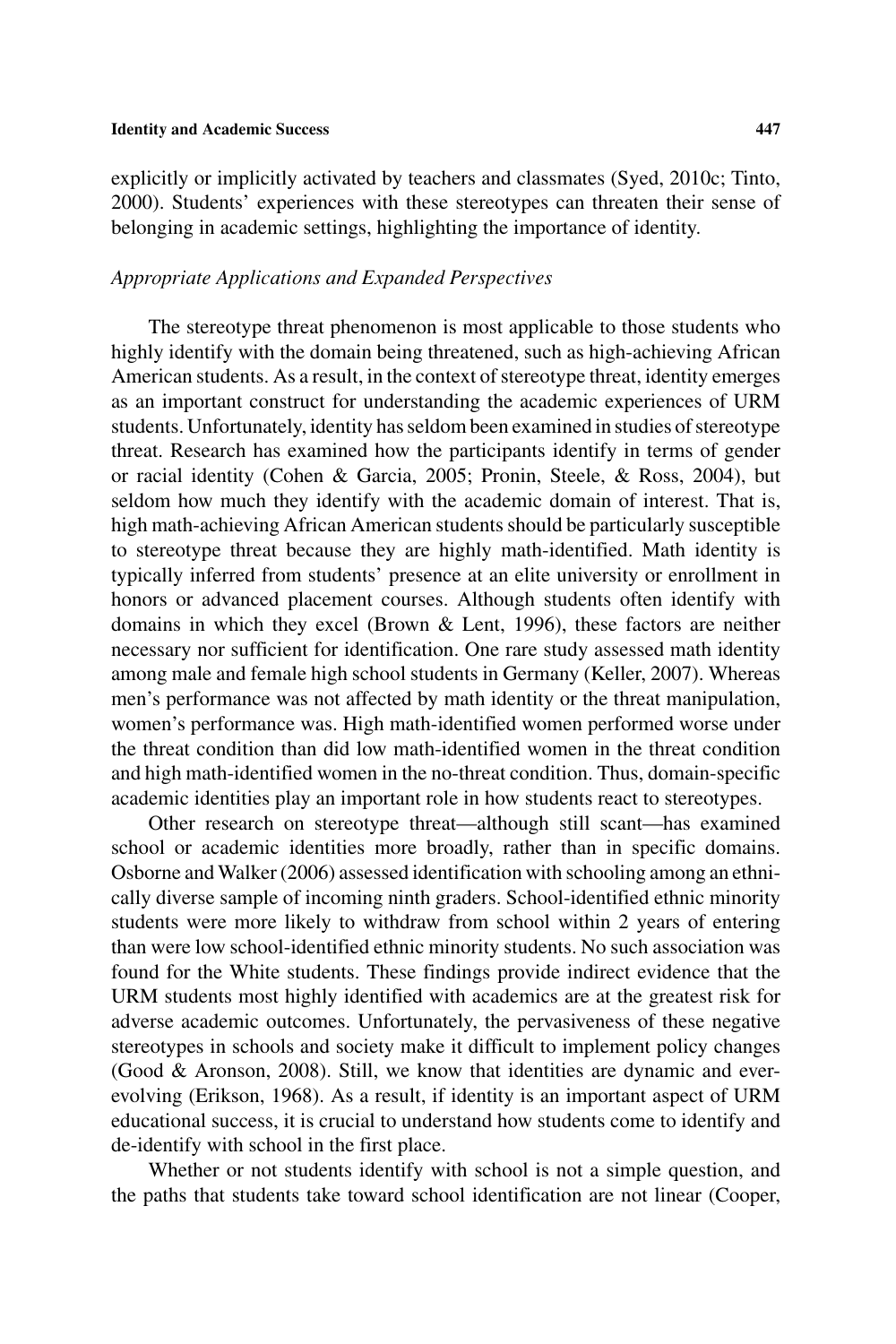explicitly or implicitly activated by teachers and classmates (Syed, 2010c; Tinto, 2000). Students' experiences with these stereotypes can threaten their sense of belonging in academic settings, highlighting the importance of identity.

## *Appropriate Applications and Expanded Perspectives*

The stereotype threat phenomenon is most applicable to those students who highly identify with the domain being threatened, such as high-achieving African American students. As a result, in the context of stereotype threat, identity emerges as an important construct for understanding the academic experiences of URM students. Unfortunately, identity has seldom been examined in studies of stereotype threat. Research has examined how the participants identify in terms of gender or racial identity (Cohen & Garcia, 2005; Pronin, Steele, & Ross, 2004), but seldom how much they identify with the academic domain of interest. That is, high math-achieving African American students should be particularly susceptible to stereotype threat because they are highly math-identified. Math identity is typically inferred from students' presence at an elite university or enrollment in honors or advanced placement courses. Although students often identify with domains in which they excel (Brown & Lent, 1996), these factors are neither necessary nor sufficient for identification. One rare study assessed math identity among male and female high school students in Germany (Keller, 2007). Whereas men's performance was not affected by math identity or the threat manipulation, women's performance was. High math-identified women performed worse under the threat condition than did low math-identified women in the threat condition and high math-identified women in the no-threat condition. Thus, domain-specific academic identities play an important role in how students react to stereotypes.

Other research on stereotype threat—although still scant—has examined school or academic identities more broadly, rather than in specific domains. Osborne and Walker (2006) assessed identification with schooling among an ethnically diverse sample of incoming ninth graders. School-identified ethnic minority students were more likely to withdraw from school within 2 years of entering than were low school-identified ethnic minority students. No such association was found for the White students. These findings provide indirect evidence that the URM students most highly identified with academics are at the greatest risk for adverse academic outcomes. Unfortunately, the pervasiveness of these negative stereotypes in schools and society make it difficult to implement policy changes (Good & Aronson, 2008). Still, we know that identities are dynamic and everevolving (Erikson, 1968). As a result, if identity is an important aspect of URM educational success, it is crucial to understand how students come to identify and de-identify with school in the first place.

Whether or not students identify with school is not a simple question, and the paths that students take toward school identification are not linear (Cooper,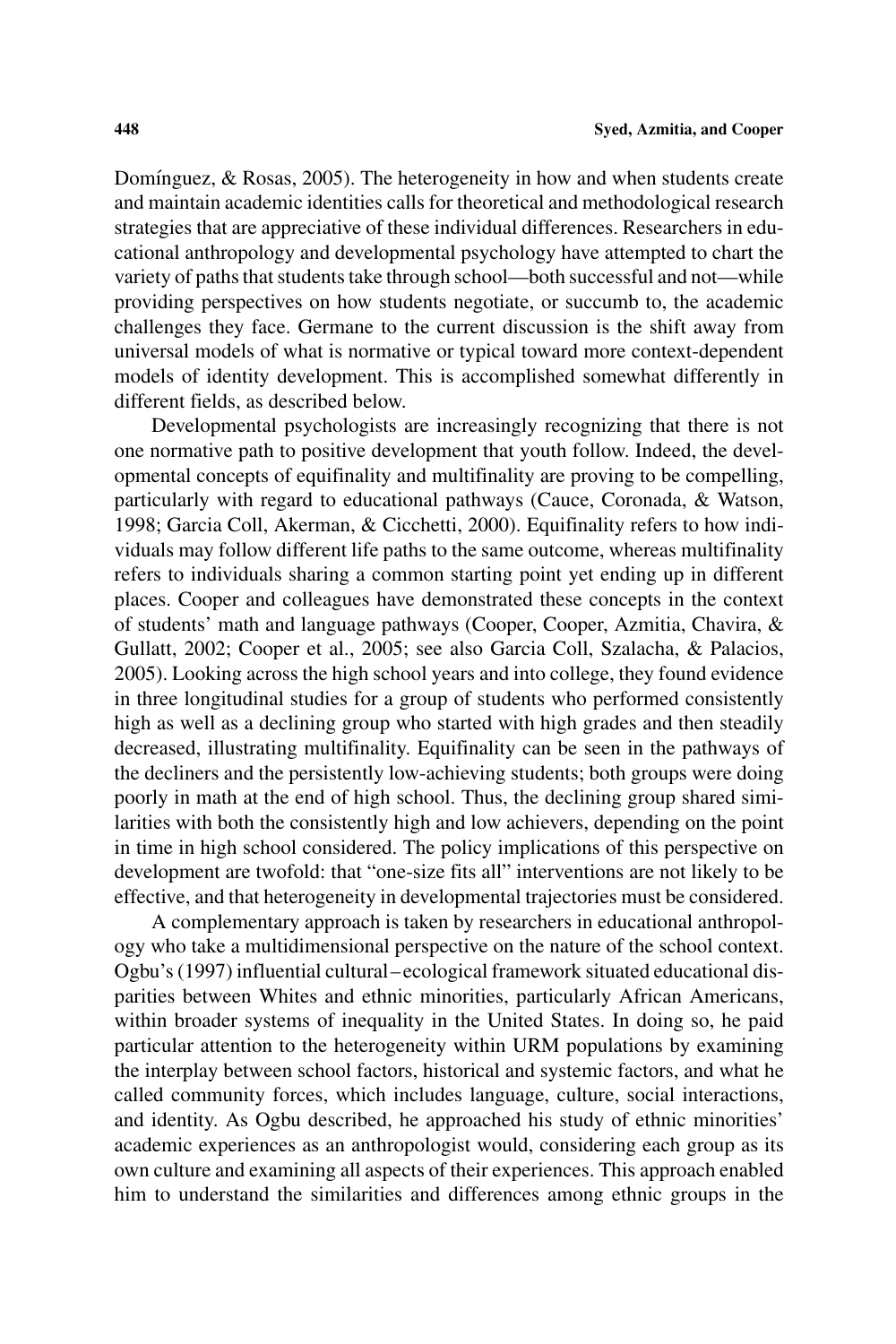Domínguez,  $&$  Rosas, 2005). The heterogeneity in how and when students create and maintain academic identities calls for theoretical and methodological research strategies that are appreciative of these individual differences. Researchers in educational anthropology and developmental psychology have attempted to chart the variety of paths that students take through school—both successful and not—while providing perspectives on how students negotiate, or succumb to, the academic challenges they face. Germane to the current discussion is the shift away from universal models of what is normative or typical toward more context-dependent models of identity development. This is accomplished somewhat differently in different fields, as described below.

Developmental psychologists are increasingly recognizing that there is not one normative path to positive development that youth follow. Indeed, the developmental concepts of equifinality and multifinality are proving to be compelling, particularly with regard to educational pathways (Cauce, Coronada, & Watson, 1998; Garcia Coll, Akerman, & Cicchetti, 2000). Equifinality refers to how individuals may follow different life paths to the same outcome, whereas multifinality refers to individuals sharing a common starting point yet ending up in different places. Cooper and colleagues have demonstrated these concepts in the context of students' math and language pathways (Cooper, Cooper, Azmitia, Chavira, & Gullatt, 2002; Cooper et al., 2005; see also Garcia Coll, Szalacha, & Palacios, 2005). Looking across the high school years and into college, they found evidence in three longitudinal studies for a group of students who performed consistently high as well as a declining group who started with high grades and then steadily decreased, illustrating multifinality. Equifinality can be seen in the pathways of the decliners and the persistently low-achieving students; both groups were doing poorly in math at the end of high school. Thus, the declining group shared similarities with both the consistently high and low achievers, depending on the point in time in high school considered. The policy implications of this perspective on development are twofold: that "one-size fits all" interventions are not likely to be effective, and that heterogeneity in developmental trajectories must be considered.

A complementary approach is taken by researchers in educational anthropology who take a multidimensional perspective on the nature of the school context. Ogbu's (1997) influential cultural–ecological framework situated educational disparities between Whites and ethnic minorities, particularly African Americans, within broader systems of inequality in the United States. In doing so, he paid particular attention to the heterogeneity within URM populations by examining the interplay between school factors, historical and systemic factors, and what he called community forces, which includes language, culture, social interactions, and identity. As Ogbu described, he approached his study of ethnic minorities' academic experiences as an anthropologist would, considering each group as its own culture and examining all aspects of their experiences. This approach enabled him to understand the similarities and differences among ethnic groups in the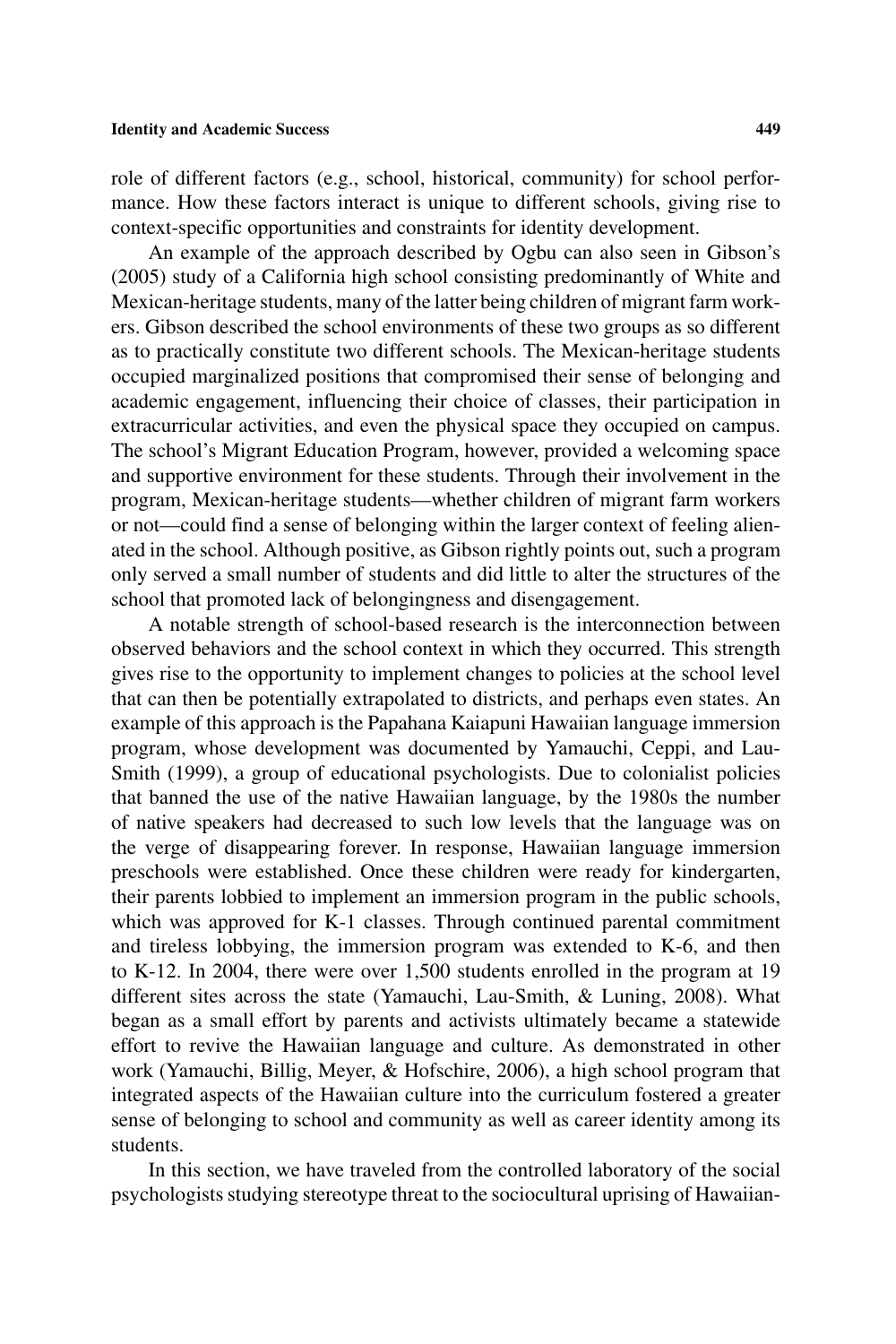role of different factors (e.g., school, historical, community) for school performance. How these factors interact is unique to different schools, giving rise to context-specific opportunities and constraints for identity development.

An example of the approach described by Ogbu can also seen in Gibson's (2005) study of a California high school consisting predominantly of White and Mexican-heritage students, many of the latter being children of migrant farm workers. Gibson described the school environments of these two groups as so different as to practically constitute two different schools. The Mexican-heritage students occupied marginalized positions that compromised their sense of belonging and academic engagement, influencing their choice of classes, their participation in extracurricular activities, and even the physical space they occupied on campus. The school's Migrant Education Program, however, provided a welcoming space and supportive environment for these students. Through their involvement in the program, Mexican-heritage students—whether children of migrant farm workers or not—could find a sense of belonging within the larger context of feeling alienated in the school. Although positive, as Gibson rightly points out, such a program only served a small number of students and did little to alter the structures of the school that promoted lack of belongingness and disengagement.

A notable strength of school-based research is the interconnection between observed behaviors and the school context in which they occurred. This strength gives rise to the opportunity to implement changes to policies at the school level that can then be potentially extrapolated to districts, and perhaps even states. An example of this approach is the Papahana Kaiapuni Hawaiian language immersion program, whose development was documented by Yamauchi, Ceppi, and Lau-Smith (1999), a group of educational psychologists. Due to colonialist policies that banned the use of the native Hawaiian language, by the 1980s the number of native speakers had decreased to such low levels that the language was on the verge of disappearing forever. In response, Hawaiian language immersion preschools were established. Once these children were ready for kindergarten, their parents lobbied to implement an immersion program in the public schools, which was approved for K-1 classes. Through continued parental commitment and tireless lobbying, the immersion program was extended to K-6, and then to K-12. In 2004, there were over 1,500 students enrolled in the program at 19 different sites across the state (Yamauchi, Lau-Smith, & Luning, 2008). What began as a small effort by parents and activists ultimately became a statewide effort to revive the Hawaiian language and culture. As demonstrated in other work (Yamauchi, Billig, Meyer, & Hofschire, 2006), a high school program that integrated aspects of the Hawaiian culture into the curriculum fostered a greater sense of belonging to school and community as well as career identity among its students.

In this section, we have traveled from the controlled laboratory of the social psychologists studying stereotype threat to the sociocultural uprising of Hawaiian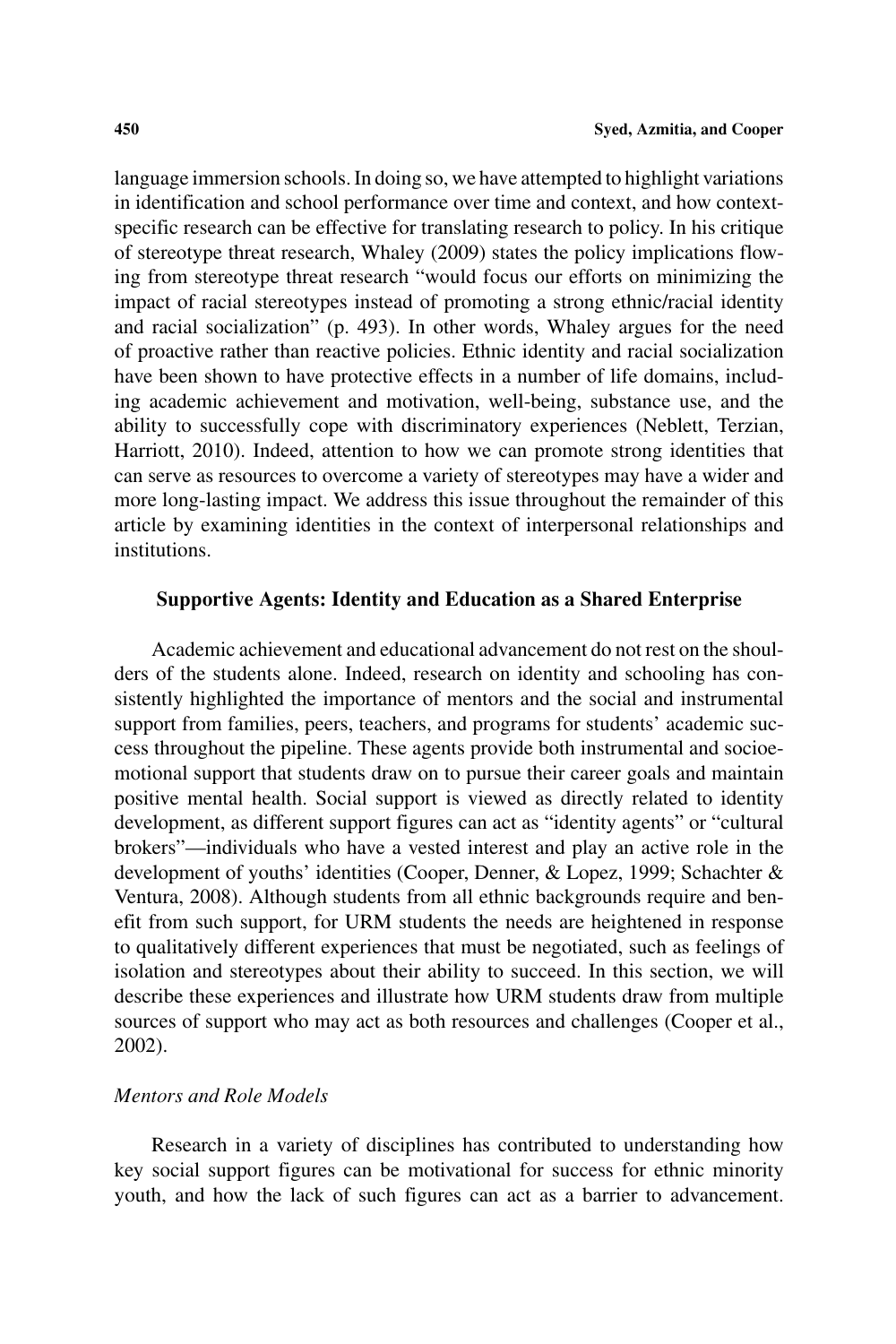language immersion schools. In doing so, we have attempted to highlight variations in identification and school performance over time and context, and how contextspecific research can be effective for translating research to policy. In his critique of stereotype threat research, Whaley (2009) states the policy implications flowing from stereotype threat research "would focus our efforts on minimizing the impact of racial stereotypes instead of promoting a strong ethnic/racial identity and racial socialization" (p. 493). In other words, Whaley argues for the need of proactive rather than reactive policies. Ethnic identity and racial socialization have been shown to have protective effects in a number of life domains, including academic achievement and motivation, well-being, substance use, and the ability to successfully cope with discriminatory experiences (Neblett, Terzian, Harriott, 2010). Indeed, attention to how we can promote strong identities that can serve as resources to overcome a variety of stereotypes may have a wider and more long-lasting impact. We address this issue throughout the remainder of this article by examining identities in the context of interpersonal relationships and institutions.

## **Supportive Agents: Identity and Education as a Shared Enterprise**

Academic achievement and educational advancement do not rest on the shoulders of the students alone. Indeed, research on identity and schooling has consistently highlighted the importance of mentors and the social and instrumental support from families, peers, teachers, and programs for students' academic success throughout the pipeline. These agents provide both instrumental and socioemotional support that students draw on to pursue their career goals and maintain positive mental health. Social support is viewed as directly related to identity development, as different support figures can act as "identity agents" or "cultural brokers"—individuals who have a vested interest and play an active role in the development of youths' identities (Cooper, Denner, & Lopez, 1999; Schachter & Ventura, 2008). Although students from all ethnic backgrounds require and benefit from such support, for URM students the needs are heightened in response to qualitatively different experiences that must be negotiated, such as feelings of isolation and stereotypes about their ability to succeed. In this section, we will describe these experiences and illustrate how URM students draw from multiple sources of support who may act as both resources and challenges (Cooper et al., 2002).

## *Mentors and Role Models*

Research in a variety of disciplines has contributed to understanding how key social support figures can be motivational for success for ethnic minority youth, and how the lack of such figures can act as a barrier to advancement.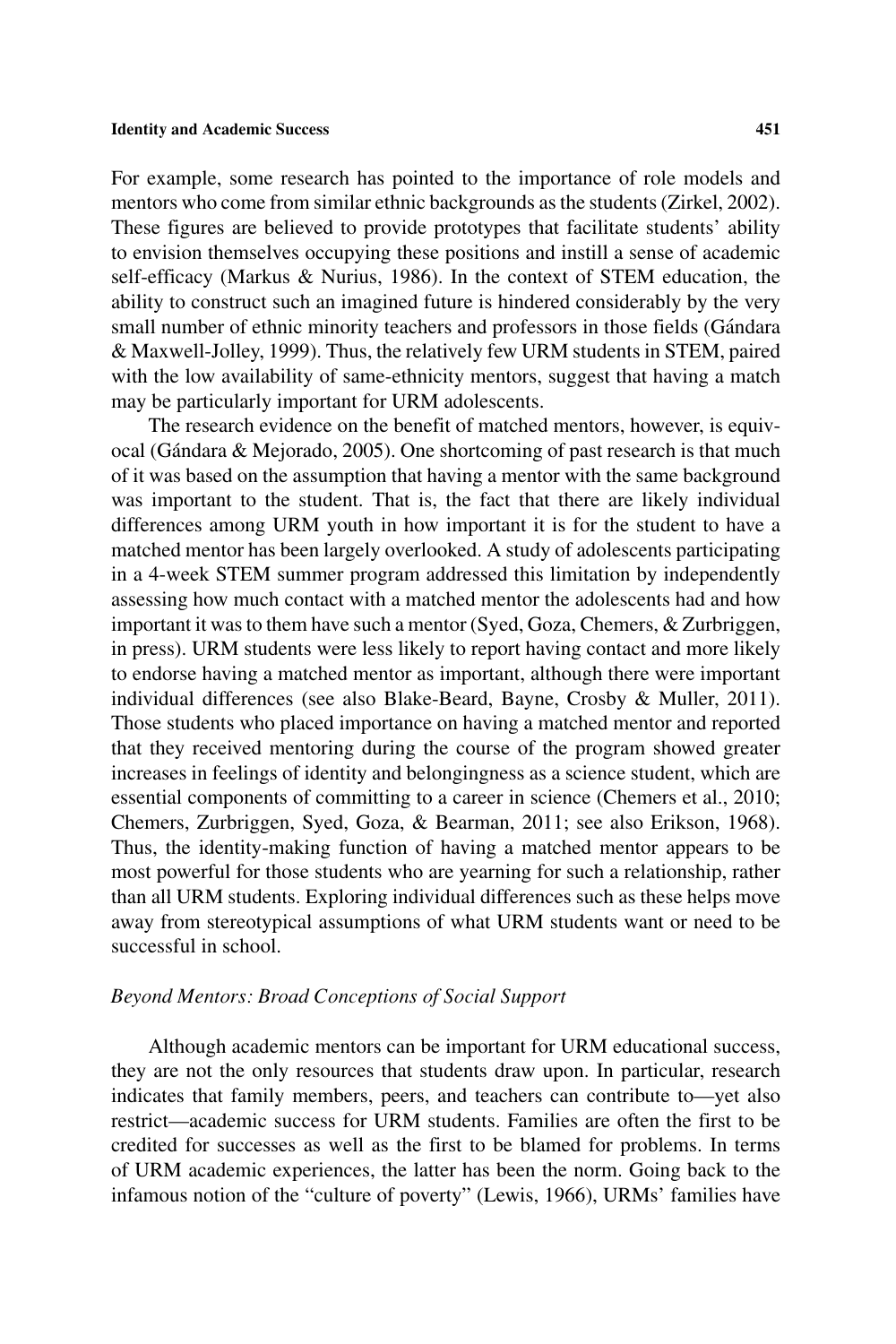For example, some research has pointed to the importance of role models and mentors who come from similar ethnic backgrounds as the students (Zirkel, 2002). These figures are believed to provide prototypes that facilitate students' ability to envision themselves occupying these positions and instill a sense of academic self-efficacy (Markus & Nurius, 1986). In the context of STEM education, the ability to construct such an imagined future is hindered considerably by the very small number of ethnic minority teachers and professors in those fields (Gándara & Maxwell-Jolley, 1999). Thus, the relatively few URM students in STEM, paired with the low availability of same-ethnicity mentors, suggest that having a match may be particularly important for URM adolescents.

The research evidence on the benefit of matched mentors, however, is equivocal (Gándara  $&$  Mejorado, 2005). One shortcoming of past research is that much of it was based on the assumption that having a mentor with the same background was important to the student. That is, the fact that there are likely individual differences among URM youth in how important it is for the student to have a matched mentor has been largely overlooked. A study of adolescents participating in a 4-week STEM summer program addressed this limitation by independently assessing how much contact with a matched mentor the adolescents had and how important it was to them have such a mentor (Syed, Goza, Chemers, & Zurbriggen, in press). URM students were less likely to report having contact and more likely to endorse having a matched mentor as important, although there were important individual differences (see also Blake-Beard, Bayne, Crosby & Muller, 2011). Those students who placed importance on having a matched mentor and reported that they received mentoring during the course of the program showed greater increases in feelings of identity and belongingness as a science student, which are essential components of committing to a career in science (Chemers et al., 2010; Chemers, Zurbriggen, Syed, Goza, & Bearman, 2011; see also Erikson, 1968). Thus, the identity-making function of having a matched mentor appears to be most powerful for those students who are yearning for such a relationship, rather than all URM students. Exploring individual differences such as these helps move away from stereotypical assumptions of what URM students want or need to be successful in school.

## *Beyond Mentors: Broad Conceptions of Social Support*

Although academic mentors can be important for URM educational success, they are not the only resources that students draw upon. In particular, research indicates that family members, peers, and teachers can contribute to—yet also restrict—academic success for URM students. Families are often the first to be credited for successes as well as the first to be blamed for problems. In terms of URM academic experiences, the latter has been the norm. Going back to the infamous notion of the "culture of poverty" (Lewis, 1966), URMs' families have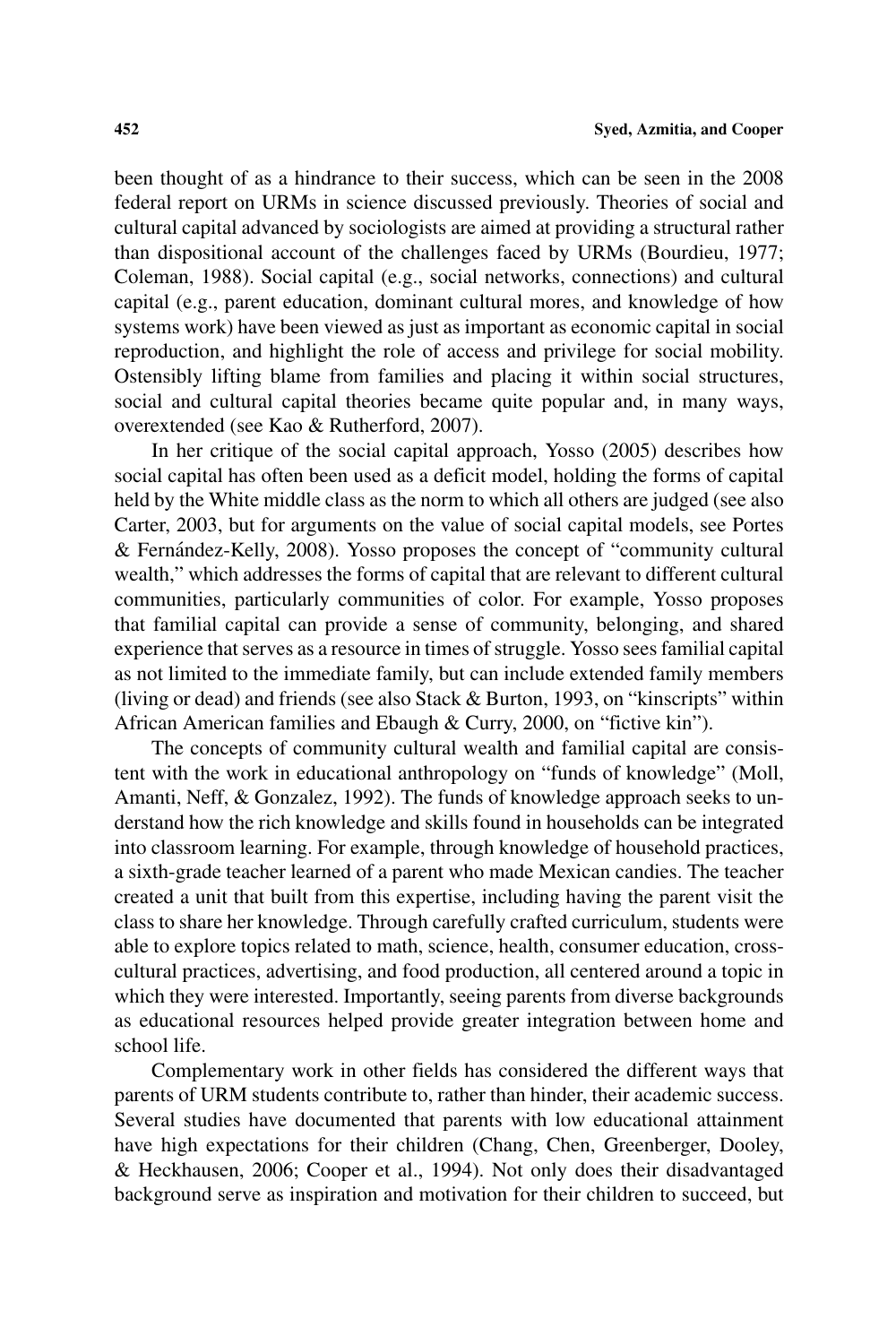been thought of as a hindrance to their success, which can be seen in the 2008 federal report on URMs in science discussed previously. Theories of social and cultural capital advanced by sociologists are aimed at providing a structural rather than dispositional account of the challenges faced by URMs (Bourdieu, 1977; Coleman, 1988). Social capital (e.g., social networks, connections) and cultural capital (e.g., parent education, dominant cultural mores, and knowledge of how systems work) have been viewed as just as important as economic capital in social reproduction, and highlight the role of access and privilege for social mobility. Ostensibly lifting blame from families and placing it within social structures, social and cultural capital theories became quite popular and, in many ways, overextended (see Kao & Rutherford, 2007).

In her critique of the social capital approach, Yosso (2005) describes how social capital has often been used as a deficit model, holding the forms of capital held by the White middle class as the norm to which all others are judged (see also Carter, 2003, but for arguments on the value of social capital models, see Portes & Fernandez-Kelly, 2008). Yosso proposes the concept of "community cultural ´ wealth," which addresses the forms of capital that are relevant to different cultural communities, particularly communities of color. For example, Yosso proposes that familial capital can provide a sense of community, belonging, and shared experience that serves as a resource in times of struggle. Yosso sees familial capital as not limited to the immediate family, but can include extended family members (living or dead) and friends (see also Stack & Burton, 1993, on "kinscripts" within African American families and Ebaugh & Curry, 2000, on "fictive kin").

The concepts of community cultural wealth and familial capital are consistent with the work in educational anthropology on "funds of knowledge" (Moll, Amanti, Neff, & Gonzalez, 1992). The funds of knowledge approach seeks to understand how the rich knowledge and skills found in households can be integrated into classroom learning. For example, through knowledge of household practices, a sixth-grade teacher learned of a parent who made Mexican candies. The teacher created a unit that built from this expertise, including having the parent visit the class to share her knowledge. Through carefully crafted curriculum, students were able to explore topics related to math, science, health, consumer education, crosscultural practices, advertising, and food production, all centered around a topic in which they were interested. Importantly, seeing parents from diverse backgrounds as educational resources helped provide greater integration between home and school life.

Complementary work in other fields has considered the different ways that parents of URM students contribute to, rather than hinder, their academic success. Several studies have documented that parents with low educational attainment have high expectations for their children (Chang, Chen, Greenberger, Dooley, & Heckhausen, 2006; Cooper et al., 1994). Not only does their disadvantaged background serve as inspiration and motivation for their children to succeed, but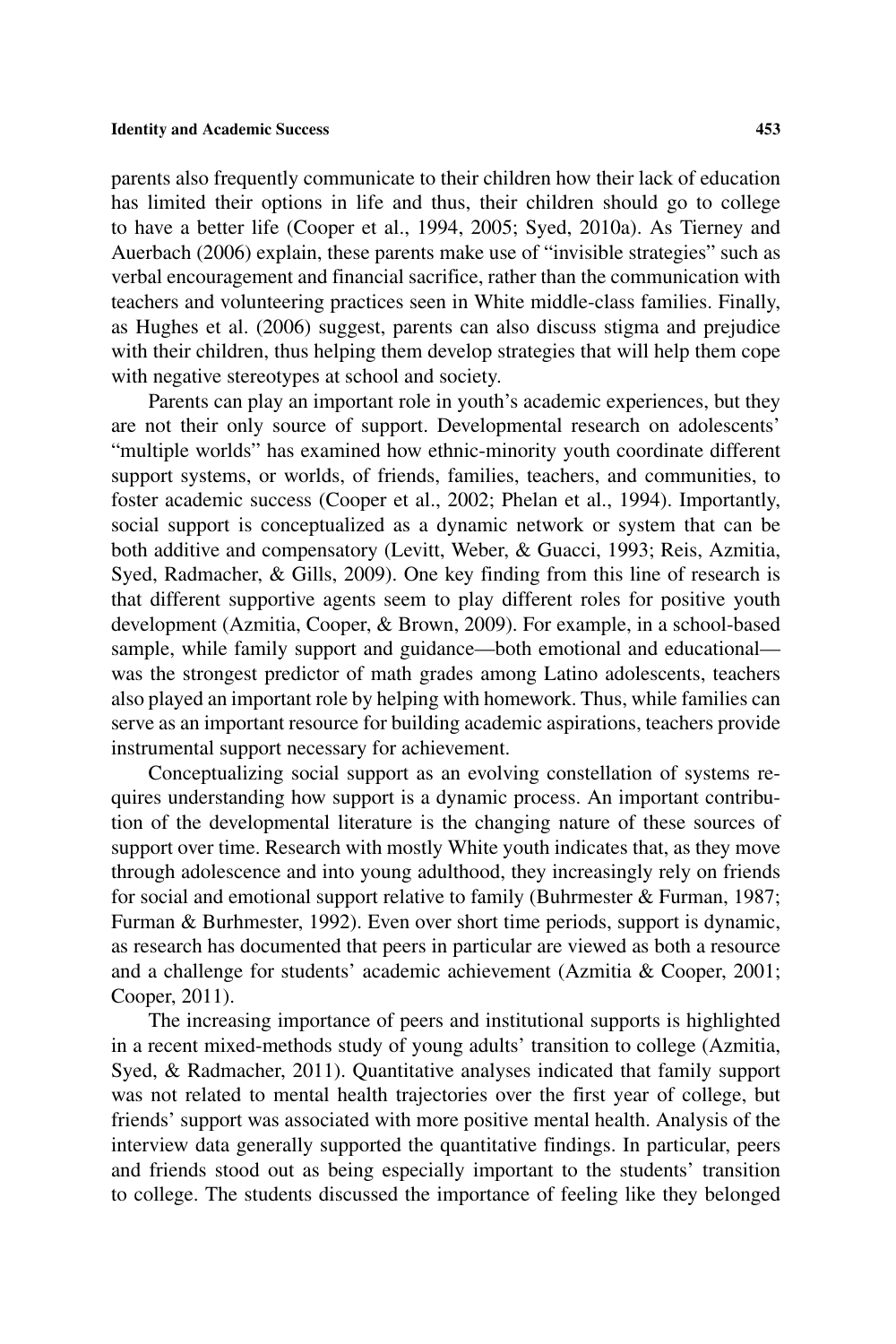parents also frequently communicate to their children how their lack of education has limited their options in life and thus, their children should go to college to have a better life (Cooper et al., 1994, 2005; Syed, 2010a). As Tierney and Auerbach (2006) explain, these parents make use of "invisible strategies" such as verbal encouragement and financial sacrifice, rather than the communication with teachers and volunteering practices seen in White middle-class families. Finally, as Hughes et al. (2006) suggest, parents can also discuss stigma and prejudice with their children, thus helping them develop strategies that will help them cope with negative stereotypes at school and society.

Parents can play an important role in youth's academic experiences, but they are not their only source of support. Developmental research on adolescents' "multiple worlds" has examined how ethnic-minority youth coordinate different support systems, or worlds, of friends, families, teachers, and communities, to foster academic success (Cooper et al., 2002; Phelan et al., 1994). Importantly, social support is conceptualized as a dynamic network or system that can be both additive and compensatory (Levitt, Weber, & Guacci, 1993; Reis, Azmitia, Syed, Radmacher, & Gills, 2009). One key finding from this line of research is that different supportive agents seem to play different roles for positive youth development (Azmitia, Cooper, & Brown, 2009). For example, in a school-based sample, while family support and guidance—both emotional and educational was the strongest predictor of math grades among Latino adolescents, teachers also played an important role by helping with homework. Thus, while families can serve as an important resource for building academic aspirations, teachers provide instrumental support necessary for achievement.

Conceptualizing social support as an evolving constellation of systems requires understanding how support is a dynamic process. An important contribution of the developmental literature is the changing nature of these sources of support over time. Research with mostly White youth indicates that, as they move through adolescence and into young adulthood, they increasingly rely on friends for social and emotional support relative to family (Buhrmester & Furman, 1987; Furman & Burhmester, 1992). Even over short time periods, support is dynamic, as research has documented that peers in particular are viewed as both a resource and a challenge for students' academic achievement (Azmitia & Cooper, 2001; Cooper, 2011).

The increasing importance of peers and institutional supports is highlighted in a recent mixed-methods study of young adults' transition to college (Azmitia, Syed, & Radmacher, 2011). Quantitative analyses indicated that family support was not related to mental health trajectories over the first year of college, but friends' support was associated with more positive mental health. Analysis of the interview data generally supported the quantitative findings. In particular, peers and friends stood out as being especially important to the students' transition to college. The students discussed the importance of feeling like they belonged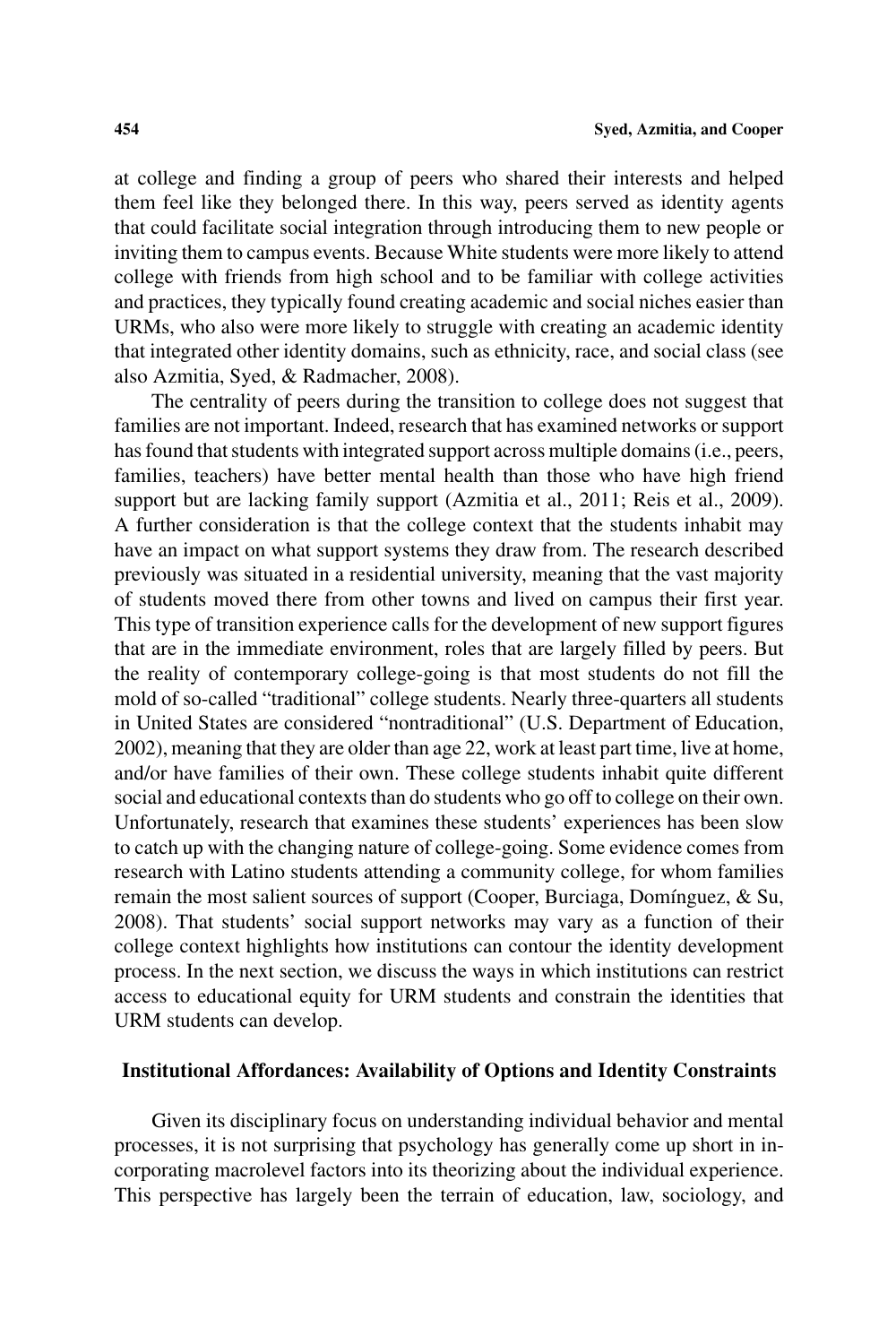at college and finding a group of peers who shared their interests and helped them feel like they belonged there. In this way, peers served as identity agents that could facilitate social integration through introducing them to new people or inviting them to campus events. Because White students were more likely to attend college with friends from high school and to be familiar with college activities and practices, they typically found creating academic and social niches easier than URMs, who also were more likely to struggle with creating an academic identity that integrated other identity domains, such as ethnicity, race, and social class (see also Azmitia, Syed, & Radmacher, 2008).

The centrality of peers during the transition to college does not suggest that families are not important. Indeed, research that has examined networks or support has found that students with integrated support across multiple domains (i.e., peers, families, teachers) have better mental health than those who have high friend support but are lacking family support (Azmitia et al., 2011; Reis et al., 2009). A further consideration is that the college context that the students inhabit may have an impact on what support systems they draw from. The research described previously was situated in a residential university, meaning that the vast majority of students moved there from other towns and lived on campus their first year. This type of transition experience calls for the development of new support figures that are in the immediate environment, roles that are largely filled by peers. But the reality of contemporary college-going is that most students do not fill the mold of so-called "traditional" college students. Nearly three-quarters all students in United States are considered "nontraditional" (U.S. Department of Education, 2002), meaning that they are older than age 22, work at least part time, live at home, and/or have families of their own. These college students inhabit quite different social and educational contexts than do students who go off to college on their own. Unfortunately, research that examines these students' experiences has been slow to catch up with the changing nature of college-going. Some evidence comes from research with Latino students attending a community college, for whom families remain the most salient sources of support (Cooper, Burciaga, Domínguez,  $\&$  Su, 2008). That students' social support networks may vary as a function of their college context highlights how institutions can contour the identity development process. In the next section, we discuss the ways in which institutions can restrict access to educational equity for URM students and constrain the identities that URM students can develop.

## **Institutional Affordances: Availability of Options and Identity Constraints**

Given its disciplinary focus on understanding individual behavior and mental processes, it is not surprising that psychology has generally come up short in incorporating macrolevel factors into its theorizing about the individual experience. This perspective has largely been the terrain of education, law, sociology, and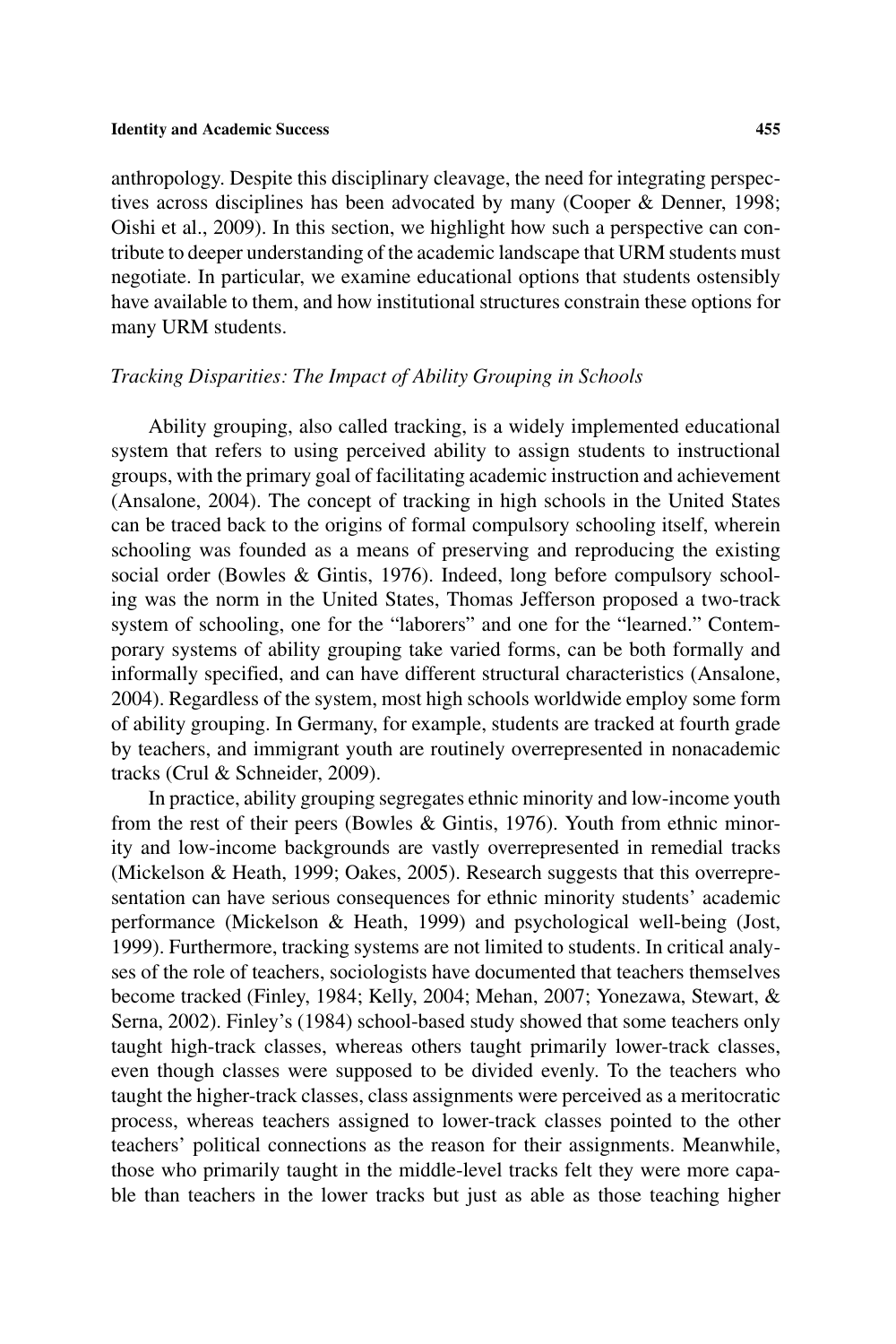anthropology. Despite this disciplinary cleavage, the need for integrating perspectives across disciplines has been advocated by many (Cooper & Denner, 1998; Oishi et al., 2009). In this section, we highlight how such a perspective can contribute to deeper understanding of the academic landscape that URM students must negotiate. In particular, we examine educational options that students ostensibly have available to them, and how institutional structures constrain these options for many URM students.

# *Tracking Disparities: The Impact of Ability Grouping in Schools*

Ability grouping, also called tracking, is a widely implemented educational system that refers to using perceived ability to assign students to instructional groups, with the primary goal of facilitating academic instruction and achievement (Ansalone, 2004). The concept of tracking in high schools in the United States can be traced back to the origins of formal compulsory schooling itself, wherein schooling was founded as a means of preserving and reproducing the existing social order (Bowles & Gintis, 1976). Indeed, long before compulsory schooling was the norm in the United States, Thomas Jefferson proposed a two-track system of schooling, one for the "laborers" and one for the "learned." Contemporary systems of ability grouping take varied forms, can be both formally and informally specified, and can have different structural characteristics (Ansalone, 2004). Regardless of the system, most high schools worldwide employ some form of ability grouping. In Germany, for example, students are tracked at fourth grade by teachers, and immigrant youth are routinely overrepresented in nonacademic tracks (Crul & Schneider, 2009).

In practice, ability grouping segregates ethnic minority and low-income youth from the rest of their peers (Bowles & Gintis, 1976). Youth from ethnic minority and low-income backgrounds are vastly overrepresented in remedial tracks (Mickelson & Heath, 1999; Oakes, 2005). Research suggests that this overrepresentation can have serious consequences for ethnic minority students' academic performance (Mickelson & Heath, 1999) and psychological well-being (Jost, 1999). Furthermore, tracking systems are not limited to students. In critical analyses of the role of teachers, sociologists have documented that teachers themselves become tracked (Finley, 1984; Kelly, 2004; Mehan, 2007; Yonezawa, Stewart, & Serna, 2002). Finley's (1984) school-based study showed that some teachers only taught high-track classes, whereas others taught primarily lower-track classes, even though classes were supposed to be divided evenly. To the teachers who taught the higher-track classes, class assignments were perceived as a meritocratic process, whereas teachers assigned to lower-track classes pointed to the other teachers' political connections as the reason for their assignments. Meanwhile, those who primarily taught in the middle-level tracks felt they were more capable than teachers in the lower tracks but just as able as those teaching higher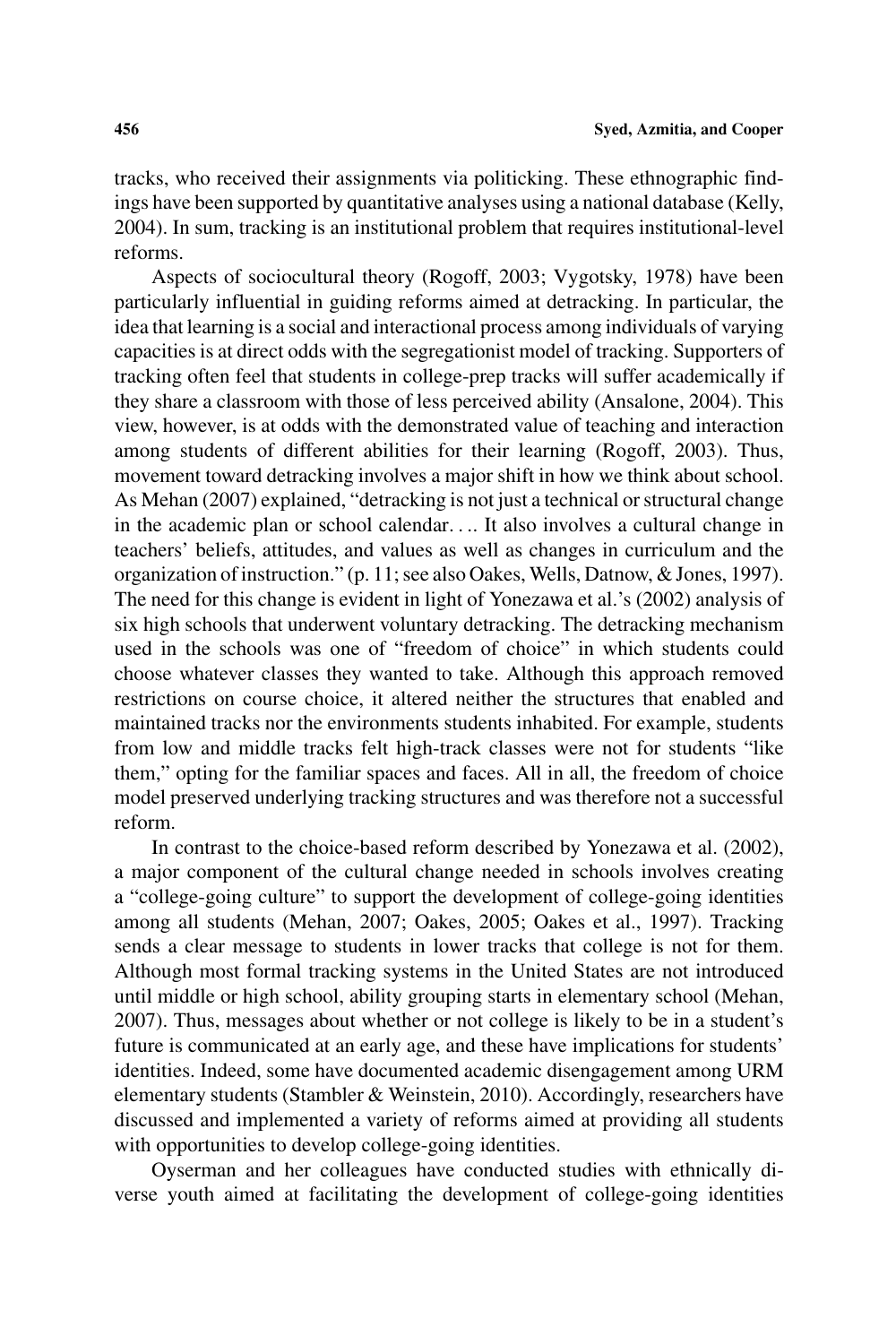tracks, who received their assignments via politicking. These ethnographic findings have been supported by quantitative analyses using a national database (Kelly, 2004). In sum, tracking is an institutional problem that requires institutional-level reforms.

Aspects of sociocultural theory (Rogoff, 2003; Vygotsky, 1978) have been particularly influential in guiding reforms aimed at detracking. In particular, the idea that learning is a social and interactional process among individuals of varying capacities is at direct odds with the segregationist model of tracking. Supporters of tracking often feel that students in college-prep tracks will suffer academically if they share a classroom with those of less perceived ability (Ansalone, 2004). This view, however, is at odds with the demonstrated value of teaching and interaction among students of different abilities for their learning (Rogoff, 2003). Thus, movement toward detracking involves a major shift in how we think about school. As Mehan (2007) explained, "detracking is not just a technical or structural change in the academic plan or school calendar.... It also involves a cultural change in teachers' beliefs, attitudes, and values as well as changes in curriculum and the organization of instruction." (p. 11; see also Oakes, Wells, Datnow, & Jones, 1997). The need for this change is evident in light of Yonezawa et al.'s (2002) analysis of six high schools that underwent voluntary detracking. The detracking mechanism used in the schools was one of "freedom of choice" in which students could choose whatever classes they wanted to take. Although this approach removed restrictions on course choice, it altered neither the structures that enabled and maintained tracks nor the environments students inhabited. For example, students from low and middle tracks felt high-track classes were not for students "like them," opting for the familiar spaces and faces. All in all, the freedom of choice model preserved underlying tracking structures and was therefore not a successful reform.

In contrast to the choice-based reform described by Yonezawa et al. (2002), a major component of the cultural change needed in schools involves creating a "college-going culture" to support the development of college-going identities among all students (Mehan, 2007; Oakes, 2005; Oakes et al., 1997). Tracking sends a clear message to students in lower tracks that college is not for them. Although most formal tracking systems in the United States are not introduced until middle or high school, ability grouping starts in elementary school (Mehan, 2007). Thus, messages about whether or not college is likely to be in a student's future is communicated at an early age, and these have implications for students' identities. Indeed, some have documented academic disengagement among URM elementary students (Stambler & Weinstein, 2010). Accordingly, researchers have discussed and implemented a variety of reforms aimed at providing all students with opportunities to develop college-going identities.

Oyserman and her colleagues have conducted studies with ethnically diverse youth aimed at facilitating the development of college-going identities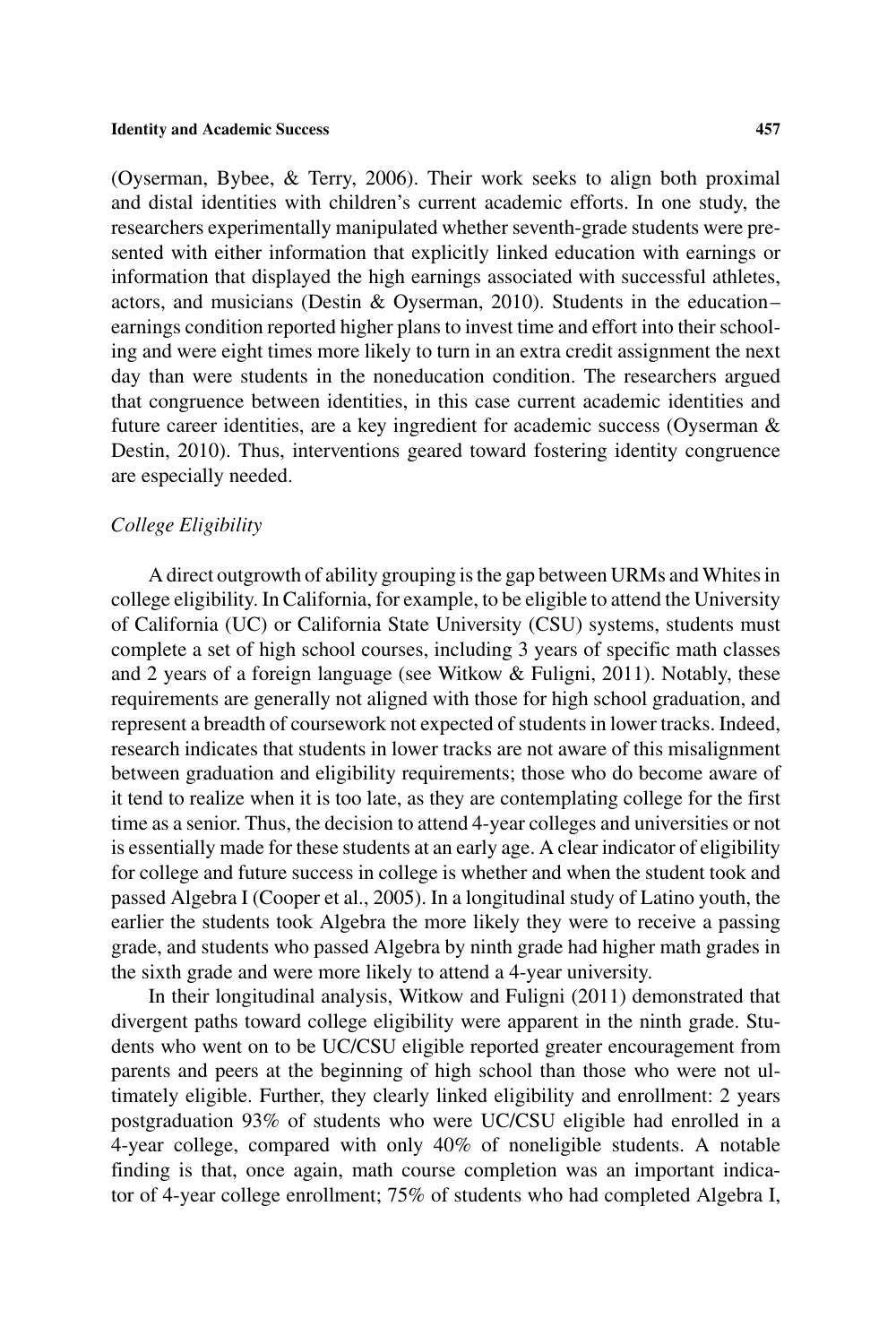(Oyserman, Bybee, & Terry, 2006). Their work seeks to align both proximal and distal identities with children's current academic efforts. In one study, the researchers experimentally manipulated whether seventh-grade students were presented with either information that explicitly linked education with earnings or information that displayed the high earnings associated with successful athletes, actors, and musicians (Destin & Oyserman, 2010). Students in the education– earnings condition reported higher plans to invest time and effort into their schooling and were eight times more likely to turn in an extra credit assignment the next day than were students in the noneducation condition. The researchers argued that congruence between identities, in this case current academic identities and future career identities, are a key ingredient for academic success (Oyserman & Destin, 2010). Thus, interventions geared toward fostering identity congruence are especially needed.

## *College Eligibility*

A direct outgrowth of ability grouping is the gap between URMs and Whites in college eligibility. In California, for example, to be eligible to attend the University of California (UC) or California State University (CSU) systems, students must complete a set of high school courses, including 3 years of specific math classes and 2 years of a foreign language (see Witkow & Fuligni, 2011). Notably, these requirements are generally not aligned with those for high school graduation, and represent a breadth of coursework not expected of students in lower tracks. Indeed, research indicates that students in lower tracks are not aware of this misalignment between graduation and eligibility requirements; those who do become aware of it tend to realize when it is too late, as they are contemplating college for the first time as a senior. Thus, the decision to attend 4-year colleges and universities or not is essentially made for these students at an early age. A clear indicator of eligibility for college and future success in college is whether and when the student took and passed Algebra I (Cooper et al., 2005). In a longitudinal study of Latino youth, the earlier the students took Algebra the more likely they were to receive a passing grade, and students who passed Algebra by ninth grade had higher math grades in the sixth grade and were more likely to attend a 4-year university.

In their longitudinal analysis, Witkow and Fuligni (2011) demonstrated that divergent paths toward college eligibility were apparent in the ninth grade. Students who went on to be UC/CSU eligible reported greater encouragement from parents and peers at the beginning of high school than those who were not ultimately eligible. Further, they clearly linked eligibility and enrollment: 2 years postgraduation 93% of students who were UC/CSU eligible had enrolled in a 4-year college, compared with only 40% of noneligible students. A notable finding is that, once again, math course completion was an important indicator of 4-year college enrollment; 75% of students who had completed Algebra I,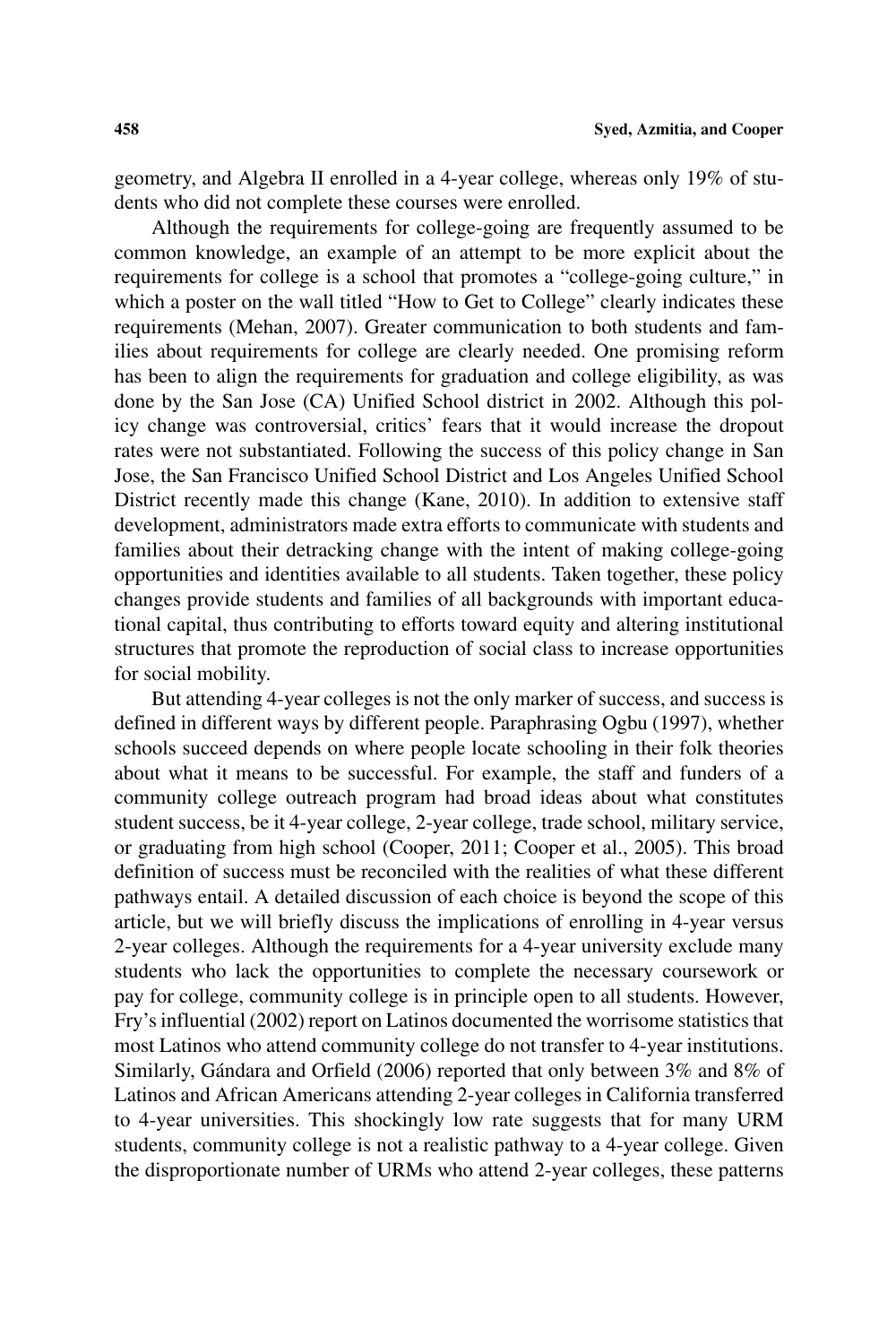geometry, and Algebra II enrolled in a 4-year college, whereas only 19% of students who did not complete these courses were enrolled.

Although the requirements for college-going are frequently assumed to be common knowledge, an example of an attempt to be more explicit about the requirements for college is a school that promotes a "college-going culture," in which a poster on the wall titled "How to Get to College" clearly indicates these requirements (Mehan, 2007). Greater communication to both students and families about requirements for college are clearly needed. One promising reform has been to align the requirements for graduation and college eligibility, as was done by the San Jose (CA) Unified School district in 2002. Although this policy change was controversial, critics' fears that it would increase the dropout rates were not substantiated. Following the success of this policy change in San Jose, the San Francisco Unified School District and Los Angeles Unified School District recently made this change (Kane, 2010). In addition to extensive staff development, administrators made extra efforts to communicate with students and families about their detracking change with the intent of making college-going opportunities and identities available to all students. Taken together, these policy changes provide students and families of all backgrounds with important educational capital, thus contributing to efforts toward equity and altering institutional structures that promote the reproduction of social class to increase opportunities for social mobility.

But attending 4-year colleges is not the only marker of success, and success is defined in different ways by different people. Paraphrasing Ogbu (1997), whether schools succeed depends on where people locate schooling in their folk theories about what it means to be successful. For example, the staff and funders of a community college outreach program had broad ideas about what constitutes student success, be it 4-year college, 2-year college, trade school, military service, or graduating from high school (Cooper, 2011; Cooper et al., 2005). This broad definition of success must be reconciled with the realities of what these different pathways entail. A detailed discussion of each choice is beyond the scope of this article, but we will briefly discuss the implications of enrolling in 4-year versus 2-year colleges. Although the requirements for a 4-year university exclude many students who lack the opportunities to complete the necessary coursework or pay for college, community college is in principle open to all students. However, Fry's influential (2002) report on Latinos documented the worrisome statistics that most Latinos who attend community college do not transfer to 4-year institutions. Similarly, Gándara and Orfield (2006) reported that only between 3% and 8% of Latinos and African Americans attending 2-year colleges in California transferred to 4-year universities. This shockingly low rate suggests that for many URM students, community college is not a realistic pathway to a 4-year college. Given the disproportionate number of URMs who attend 2-year colleges, these patterns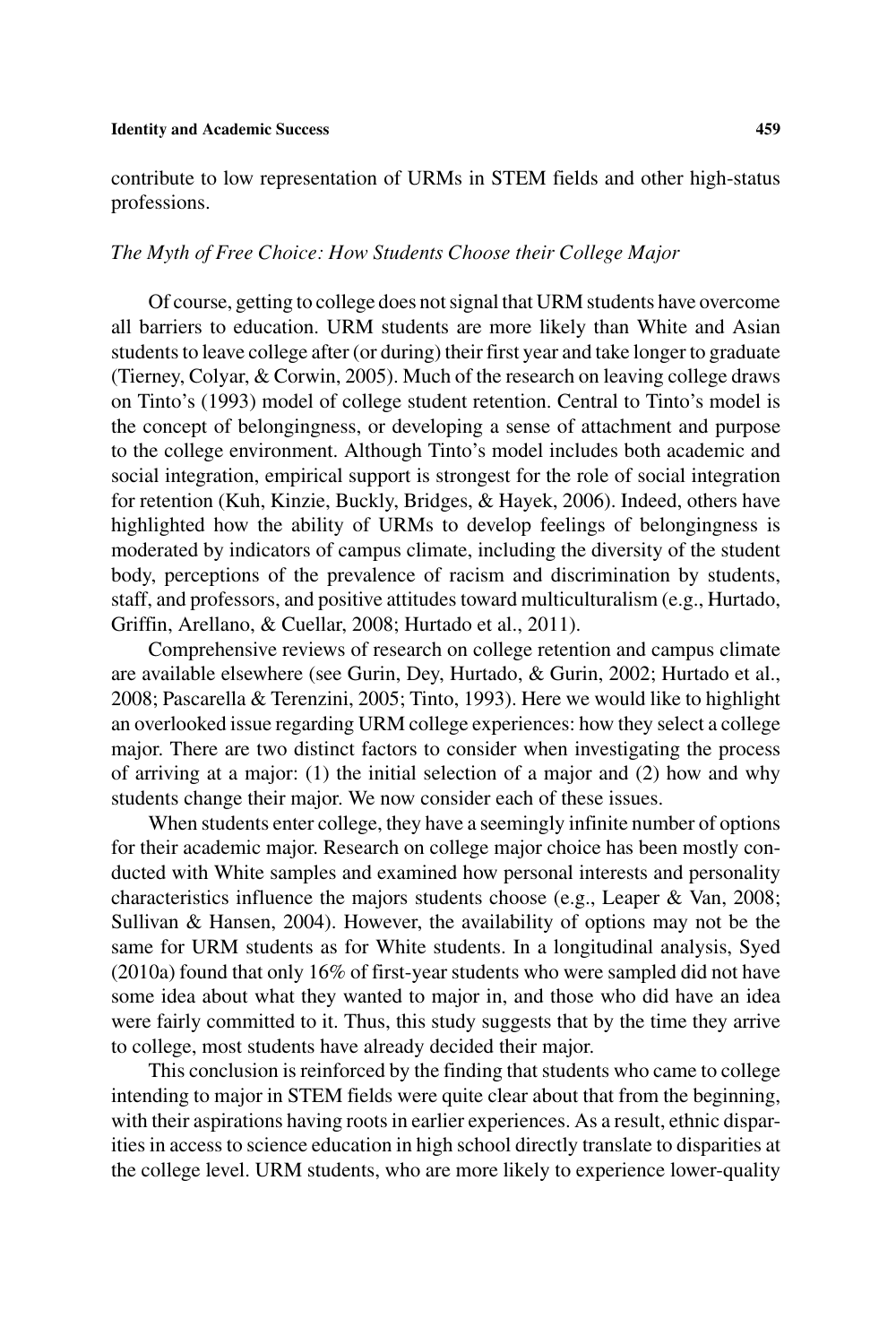contribute to low representation of URMs in STEM fields and other high-status professions.

## *The Myth of Free Choice: How Students Choose their College Major*

Of course, getting to college does not signal that URM students have overcome all barriers to education. URM students are more likely than White and Asian students to leave college after (or during) their first year and take longer to graduate (Tierney, Colyar, & Corwin, 2005). Much of the research on leaving college draws on Tinto's (1993) model of college student retention. Central to Tinto's model is the concept of belongingness, or developing a sense of attachment and purpose to the college environment. Although Tinto's model includes both academic and social integration, empirical support is strongest for the role of social integration for retention (Kuh, Kinzie, Buckly, Bridges, & Hayek, 2006). Indeed, others have highlighted how the ability of URMs to develop feelings of belongingness is moderated by indicators of campus climate, including the diversity of the student body, perceptions of the prevalence of racism and discrimination by students, staff, and professors, and positive attitudes toward multiculturalism (e.g., Hurtado, Griffin, Arellano, & Cuellar, 2008; Hurtado et al., 2011).

Comprehensive reviews of research on college retention and campus climate are available elsewhere (see Gurin, Dey, Hurtado, & Gurin, 2002; Hurtado et al., 2008; Pascarella & Terenzini, 2005; Tinto, 1993). Here we would like to highlight an overlooked issue regarding URM college experiences: how they select a college major. There are two distinct factors to consider when investigating the process of arriving at a major: (1) the initial selection of a major and (2) how and why students change their major. We now consider each of these issues.

When students enter college, they have a seemingly infinite number of options for their academic major. Research on college major choice has been mostly conducted with White samples and examined how personal interests and personality characteristics influence the majors students choose (e.g., Leaper & Van, 2008; Sullivan & Hansen, 2004). However, the availability of options may not be the same for URM students as for White students. In a longitudinal analysis, Syed (2010a) found that only 16% of first-year students who were sampled did not have some idea about what they wanted to major in, and those who did have an idea were fairly committed to it. Thus, this study suggests that by the time they arrive to college, most students have already decided their major.

This conclusion is reinforced by the finding that students who came to college intending to major in STEM fields were quite clear about that from the beginning, with their aspirations having roots in earlier experiences. As a result, ethnic disparities in access to science education in high school directly translate to disparities at the college level. URM students, who are more likely to experience lower-quality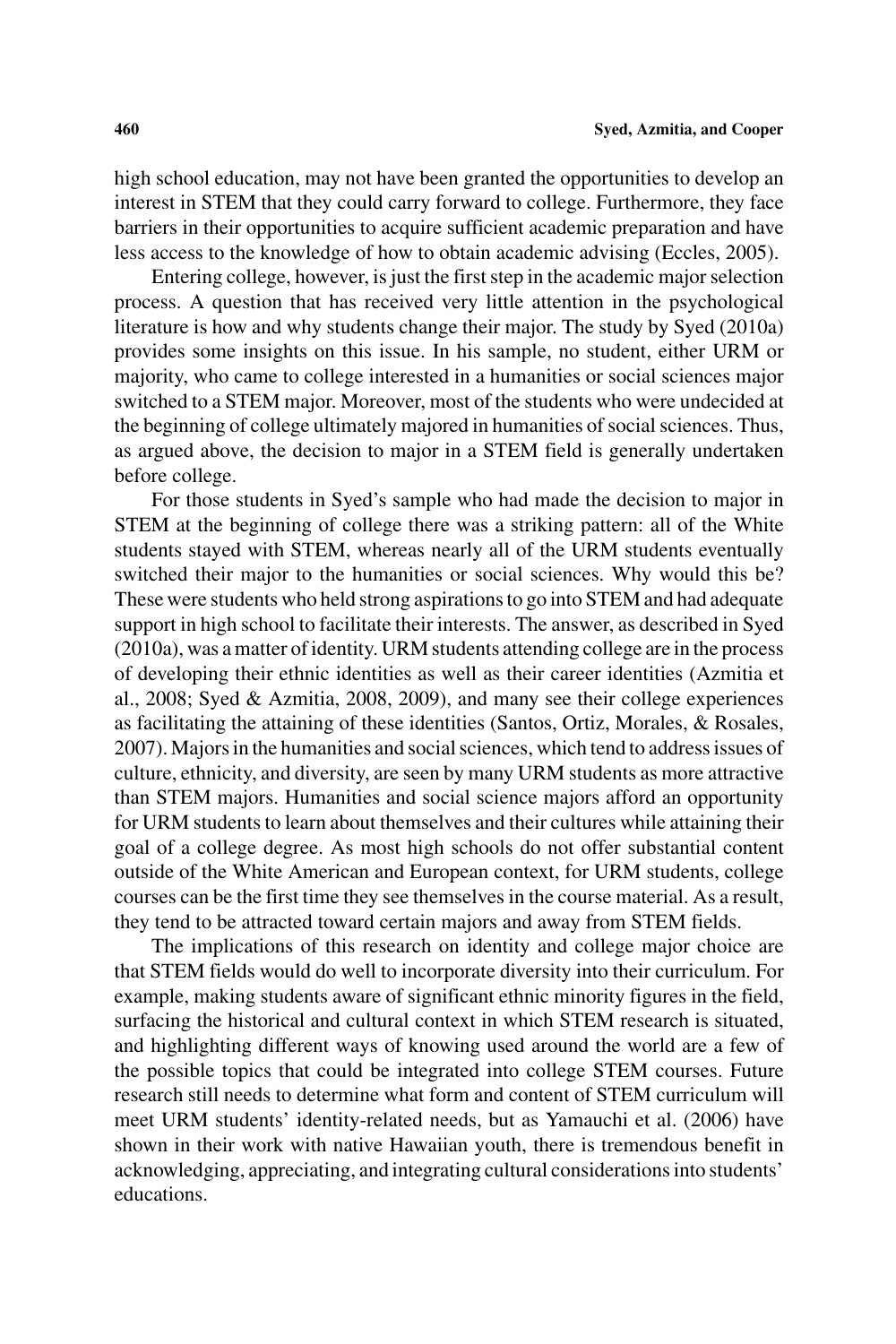high school education, may not have been granted the opportunities to develop an interest in STEM that they could carry forward to college. Furthermore, they face barriers in their opportunities to acquire sufficient academic preparation and have less access to the knowledge of how to obtain academic advising (Eccles, 2005).

Entering college, however, is just the first step in the academic major selection process. A question that has received very little attention in the psychological literature is how and why students change their major. The study by Syed (2010a) provides some insights on this issue. In his sample, no student, either URM or majority, who came to college interested in a humanities or social sciences major switched to a STEM major. Moreover, most of the students who were undecided at the beginning of college ultimately majored in humanities of social sciences. Thus, as argued above, the decision to major in a STEM field is generally undertaken before college.

For those students in Syed's sample who had made the decision to major in STEM at the beginning of college there was a striking pattern: all of the White students stayed with STEM, whereas nearly all of the URM students eventually switched their major to the humanities or social sciences. Why would this be? These were students who held strong aspirations to go into STEM and had adequate support in high school to facilitate their interests. The answer, as described in Syed (2010a), was a matter of identity. URM students attending college are in the process of developing their ethnic identities as well as their career identities (Azmitia et al., 2008; Syed & Azmitia, 2008, 2009), and many see their college experiences as facilitating the attaining of these identities (Santos, Ortiz, Morales, & Rosales, 2007). Majors in the humanities and social sciences, which tend to address issues of culture, ethnicity, and diversity, are seen by many URM students as more attractive than STEM majors. Humanities and social science majors afford an opportunity for URM students to learn about themselves and their cultures while attaining their goal of a college degree. As most high schools do not offer substantial content outside of the White American and European context, for URM students, college courses can be the first time they see themselves in the course material. As a result, they tend to be attracted toward certain majors and away from STEM fields.

The implications of this research on identity and college major choice are that STEM fields would do well to incorporate diversity into their curriculum. For example, making students aware of significant ethnic minority figures in the field, surfacing the historical and cultural context in which STEM research is situated, and highlighting different ways of knowing used around the world are a few of the possible topics that could be integrated into college STEM courses. Future research still needs to determine what form and content of STEM curriculum will meet URM students' identity-related needs, but as Yamauchi et al. (2006) have shown in their work with native Hawaiian youth, there is tremendous benefit in acknowledging, appreciating, and integrating cultural considerations into students' educations.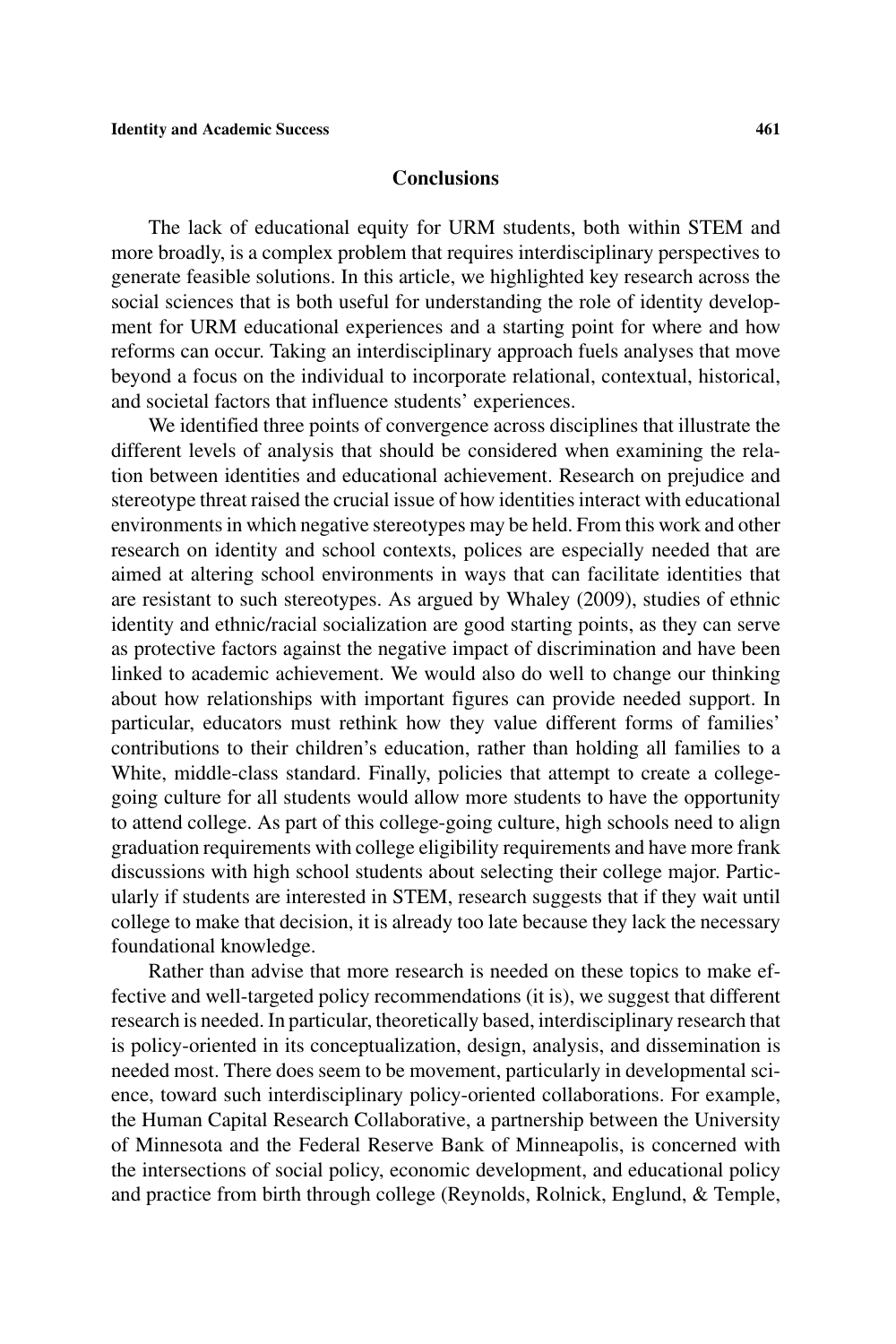## **Conclusions**

The lack of educational equity for URM students, both within STEM and more broadly, is a complex problem that requires interdisciplinary perspectives to generate feasible solutions. In this article, we highlighted key research across the social sciences that is both useful for understanding the role of identity development for URM educational experiences and a starting point for where and how reforms can occur. Taking an interdisciplinary approach fuels analyses that move beyond a focus on the individual to incorporate relational, contextual, historical, and societal factors that influence students' experiences.

We identified three points of convergence across disciplines that illustrate the different levels of analysis that should be considered when examining the relation between identities and educational achievement. Research on prejudice and stereotype threat raised the crucial issue of how identities interact with educational environments in which negative stereotypes may be held. From this work and other research on identity and school contexts, polices are especially needed that are aimed at altering school environments in ways that can facilitate identities that are resistant to such stereotypes. As argued by Whaley (2009), studies of ethnic identity and ethnic/racial socialization are good starting points, as they can serve as protective factors against the negative impact of discrimination and have been linked to academic achievement. We would also do well to change our thinking about how relationships with important figures can provide needed support. In particular, educators must rethink how they value different forms of families' contributions to their children's education, rather than holding all families to a White, middle-class standard. Finally, policies that attempt to create a collegegoing culture for all students would allow more students to have the opportunity to attend college. As part of this college-going culture, high schools need to align graduation requirements with college eligibility requirements and have more frank discussions with high school students about selecting their college major. Particularly if students are interested in STEM, research suggests that if they wait until college to make that decision, it is already too late because they lack the necessary foundational knowledge.

Rather than advise that more research is needed on these topics to make effective and well-targeted policy recommendations (it is), we suggest that different research is needed. In particular, theoretically based, interdisciplinary research that is policy-oriented in its conceptualization, design, analysis, and dissemination is needed most. There does seem to be movement, particularly in developmental science, toward such interdisciplinary policy-oriented collaborations. For example, the Human Capital Research Collaborative, a partnership between the University of Minnesota and the Federal Reserve Bank of Minneapolis, is concerned with the intersections of social policy, economic development, and educational policy and practice from birth through college (Reynolds, Rolnick, Englund, & Temple,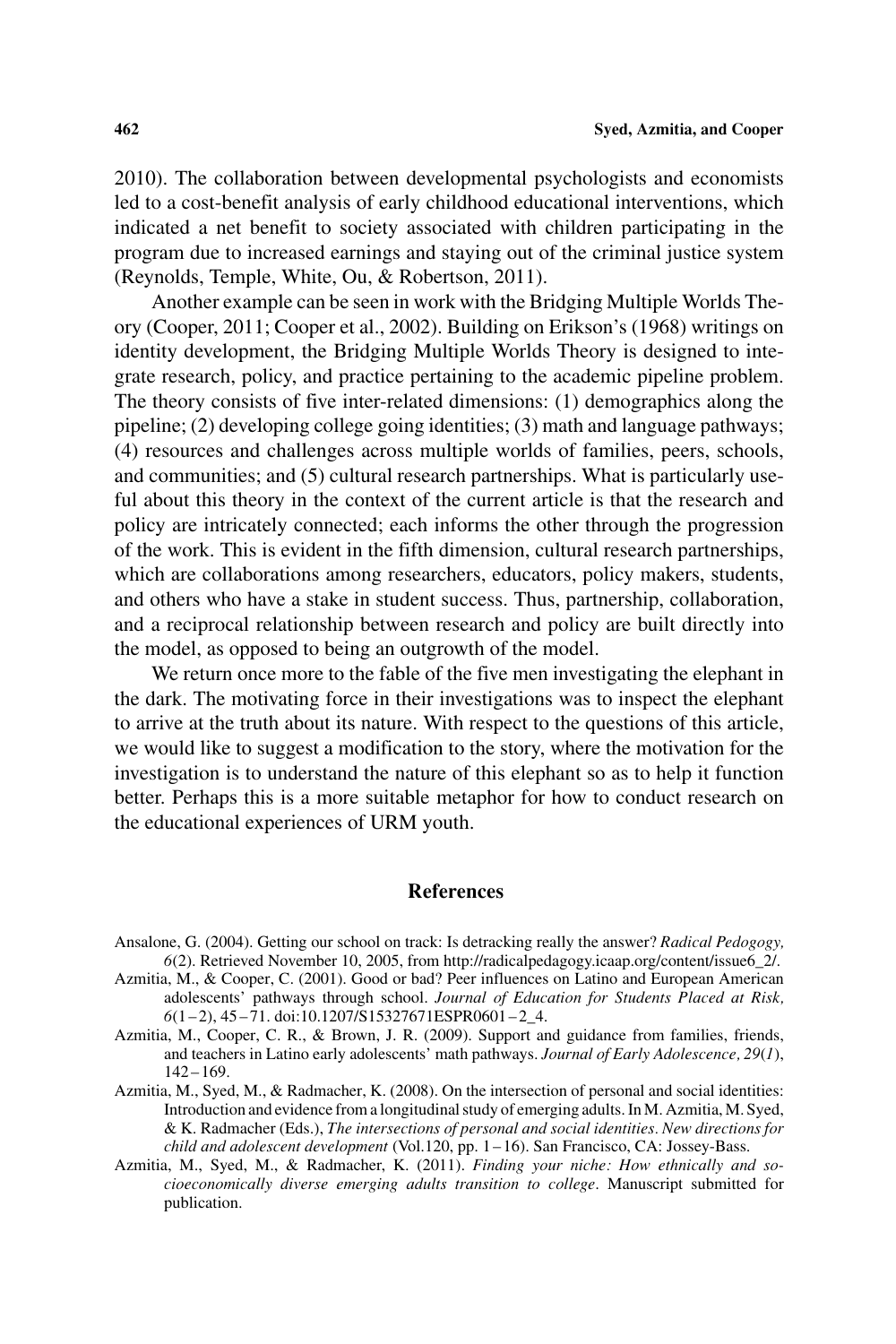2010). The collaboration between developmental psychologists and economists led to a cost-benefit analysis of early childhood educational interventions, which indicated a net benefit to society associated with children participating in the program due to increased earnings and staying out of the criminal justice system (Reynolds, Temple, White, Ou, & Robertson, 2011).

Another example can be seen in work with the Bridging Multiple Worlds Theory (Cooper, 2011; Cooper et al., 2002). Building on Erikson's (1968) writings on identity development, the Bridging Multiple Worlds Theory is designed to integrate research, policy, and practice pertaining to the academic pipeline problem. The theory consists of five inter-related dimensions: (1) demographics along the pipeline; (2) developing college going identities; (3) math and language pathways; (4) resources and challenges across multiple worlds of families, peers, schools, and communities; and (5) cultural research partnerships. What is particularly useful about this theory in the context of the current article is that the research and policy are intricately connected; each informs the other through the progression of the work. This is evident in the fifth dimension, cultural research partnerships, which are collaborations among researchers, educators, policy makers, students, and others who have a stake in student success. Thus, partnership, collaboration, and a reciprocal relationship between research and policy are built directly into the model, as opposed to being an outgrowth of the model.

We return once more to the fable of the five men investigating the elephant in the dark. The motivating force in their investigations was to inspect the elephant to arrive at the truth about its nature. With respect to the questions of this article, we would like to suggest a modification to the story, where the motivation for the investigation is to understand the nature of this elephant so as to help it function better. Perhaps this is a more suitable metaphor for how to conduct research on the educational experiences of URM youth.

## **References**

- Ansalone, G. (2004). Getting our school on track: Is detracking really the answer? *Radical Pedogogy, 6*(2). Retrieved November 10, 2005, from http://radicalpedagogy.icaap.org/content/issue6\_2/.
- Azmitia, M., & Cooper, C. (2001). Good or bad? Peer influences on Latino and European American adolescents' pathways through school. *Journal of Education for Students Placed at Risk, 6*(1 – 2), 45 – 71. doi:10.1207/S15327671ESPR0601 – 2\_4.
- Azmitia, M., Cooper, C. R., & Brown, J. R. (2009). Support and guidance from families, friends, and teachers in Latino early adolescents' math pathways. *Journal of Early Adolescence, 29*(*1*), 142 – 169.
- Azmitia, M., Syed, M., & Radmacher, K. (2008). On the intersection of personal and social identities: Introduction and evidence from a longitudinal study of emerging adults. In M. Azmitia, M. Syed, & K. Radmacher (Eds.), *The intersections of personal and social identities. New directions for child and adolescent development* (Vol.120, pp. 1 – 16). San Francisco, CA: Jossey-Bass.
- Azmitia, M., Syed, M., & Radmacher, K. (2011). *Finding your niche: How ethnically and socioeconomically diverse emerging adults transition to college*. Manuscript submitted for publication.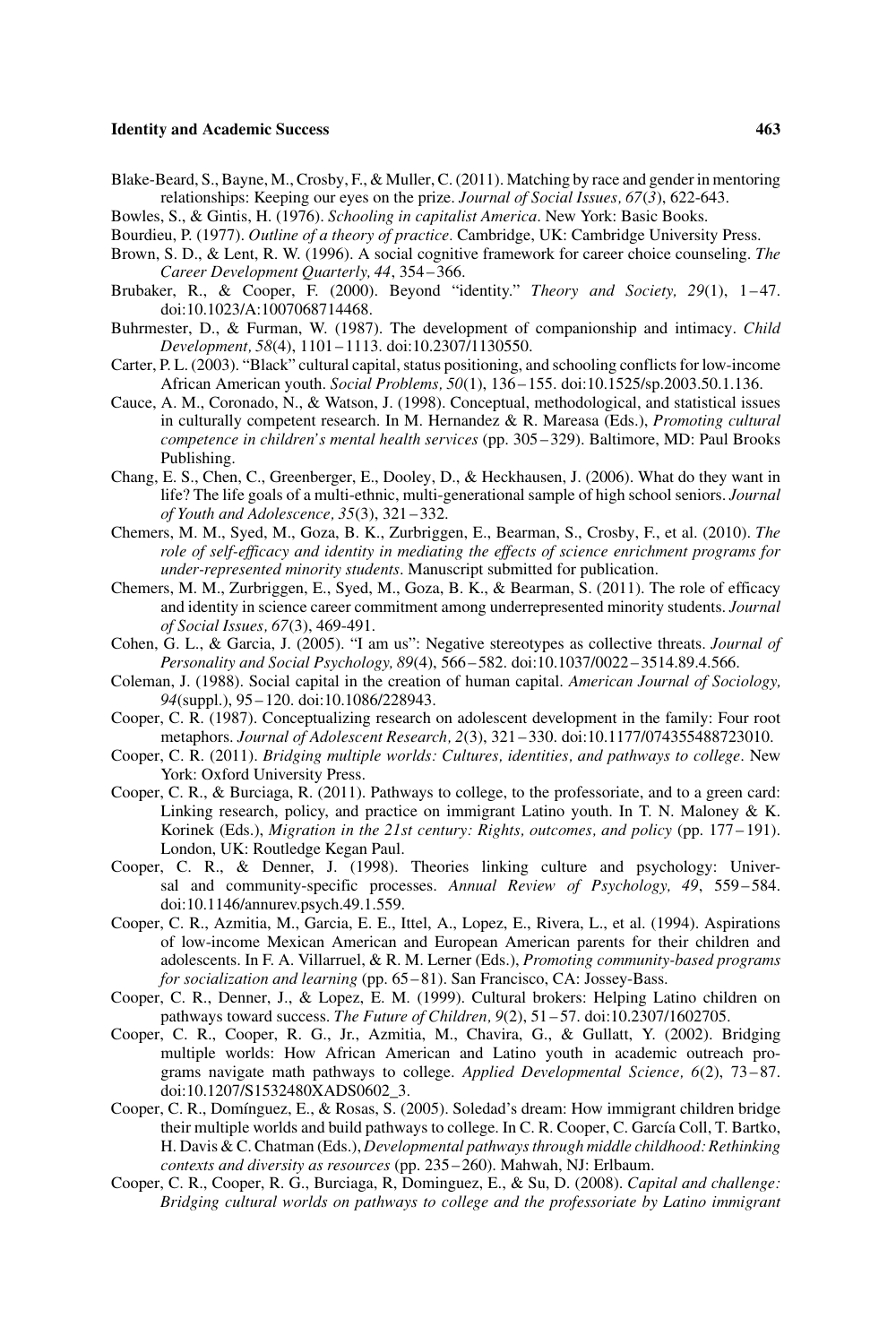- Blake-Beard, S., Bayne, M., Crosby, F., & Muller, C. (2011). Matching by race and gender in mentoring relationships: Keeping our eyes on the prize. *Journal of Social Issues, 67*(*3*), 622-643.
- Bowles, S., & Gintis, H. (1976). *Schooling in capitalist America*. New York: Basic Books.
- Bourdieu, P. (1977). *Outline of a theory of practice.* Cambridge, UK: Cambridge University Press.
- Brown, S. D., & Lent, R. W. (1996). A social cognitive framework for career choice counseling. *The Career Development Quarterly, 44*, 354 – 366.
- Brubaker, R., & Cooper, F. (2000). Beyond "identity." *Theory and Society*, 29(1), 1–47. doi:10.1023/A:1007068714468.
- Buhrmester, D., & Furman, W. (1987). The development of companionship and intimacy. *Child Development, 58*(4), 1101 – 1113. doi:10.2307/1130550.
- Carter, P. L. (2003). "Black" cultural capital, status positioning, and schooling conflicts for low-income African American youth. *Social Problems, 50*(1), 136 – 155. doi:10.1525/sp.2003.50.1.136.
- Cauce, A. M., Coronado, N., & Watson, J. (1998). Conceptual, methodological, and statistical issues in culturally competent research. In M. Hernandez & R. Mareasa (Eds.), *Promoting cultural competence in children's mental health services* (pp. 305 – 329). Baltimore, MD: Paul Brooks Publishing.
- Chang, E. S., Chen, C., Greenberger, E., Dooley, D., & Heckhausen, J. (2006). What do they want in life? The life goals of a multi-ethnic, multi-generational sample of high school seniors. *Journal of Youth and Adolescence, 35*(3), 321 – 332.
- Chemers, M. M., Syed, M., Goza, B. K., Zurbriggen, E., Bearman, S., Crosby, F., et al. (2010). *The role of self-efficacy and identity in mediating the effects of science enrichment programs for under-represented minority students*. Manuscript submitted for publication.
- Chemers, M. M., Zurbriggen, E., Syed, M., Goza, B. K., & Bearman, S. (2011). The role of efficacy and identity in science career commitment among underrepresented minority students. *Journal of Social Issues, 67*(3), 469-491.
- Cohen, G. L., & Garcia, J. (2005). "I am us": Negative stereotypes as collective threats. *Journal of Personality and Social Psychology, 89*(4), 566 – 582. doi:10.1037/0022 – 3514.89.4.566.
- Coleman, J. (1988). Social capital in the creation of human capital. *American Journal of Sociology, 94*(suppl.), 95 – 120. doi:10.1086/228943.
- Cooper, C. R. (1987). Conceptualizing research on adolescent development in the family: Four root metaphors. *Journal of Adolescent Research, 2*(3), 321 – 330. doi:10.1177/074355488723010.
- Cooper, C. R. (2011). *Bridging multiple worlds: Cultures, identities, and pathways to college*. New York: Oxford University Press.
- Cooper, C. R., & Burciaga, R. (2011). Pathways to college, to the professoriate, and to a green card: Linking research, policy, and practice on immigrant Latino youth. In T. N. Maloney & K. Korinek (Eds.), *Migration in the 21st century: Rights, outcomes, and policy* (pp. 177 – 191). London, UK: Routledge Kegan Paul.
- Cooper, C. R., & Denner, J. (1998). Theories linking culture and psychology: Universal and community-specific processes. *Annual Review of Psychology*, 49, 559–584. doi:10.1146/annurev.psych.49.1.559.
- Cooper, C. R., Azmitia, M., Garcia, E. E., Ittel, A., Lopez, E., Rivera, L., et al. (1994). Aspirations of low-income Mexican American and European American parents for their children and adolescents. In F. A. Villarruel, & R. M. Lerner (Eds.), *Promoting community-based programs for socialization and learning* (pp. 65 – 81). San Francisco, CA: Jossey-Bass.
- Cooper, C. R., Denner, J., & Lopez, E. M. (1999). Cultural brokers: Helping Latino children on pathways toward success. *The Future of Children, 9*(2), 51 – 57. doi:10.2307/1602705.
- Cooper, C. R., Cooper, R. G., Jr., Azmitia, M., Chavira, G., & Gullatt, Y. (2002). Bridging multiple worlds: How African American and Latino youth in academic outreach programs navigate math pathways to college. *Applied Developmental Science*, 6(2), 73-87. doi:10.1207/S1532480XADS0602\_3.
- Cooper, C. R., Domínguez, E., & Rosas, S. (2005). Soledad's dream: How immigrant children bridge their multiple worlds and build pathways to college. In C. R. Cooper, C. García Coll, T. Bartko, H. Davis & C. Chatman (Eds.), *Developmental pathways through middle childhood: Rethinking contexts and diversity as resources* (pp. 235 – 260). Mahwah, NJ: Erlbaum.
- Cooper, C. R., Cooper, R. G., Burciaga, R, Dominguez, E., & Su, D. (2008). *Capital and challenge: Bridging cultural worlds on pathways to college and the professoriate by Latino immigrant*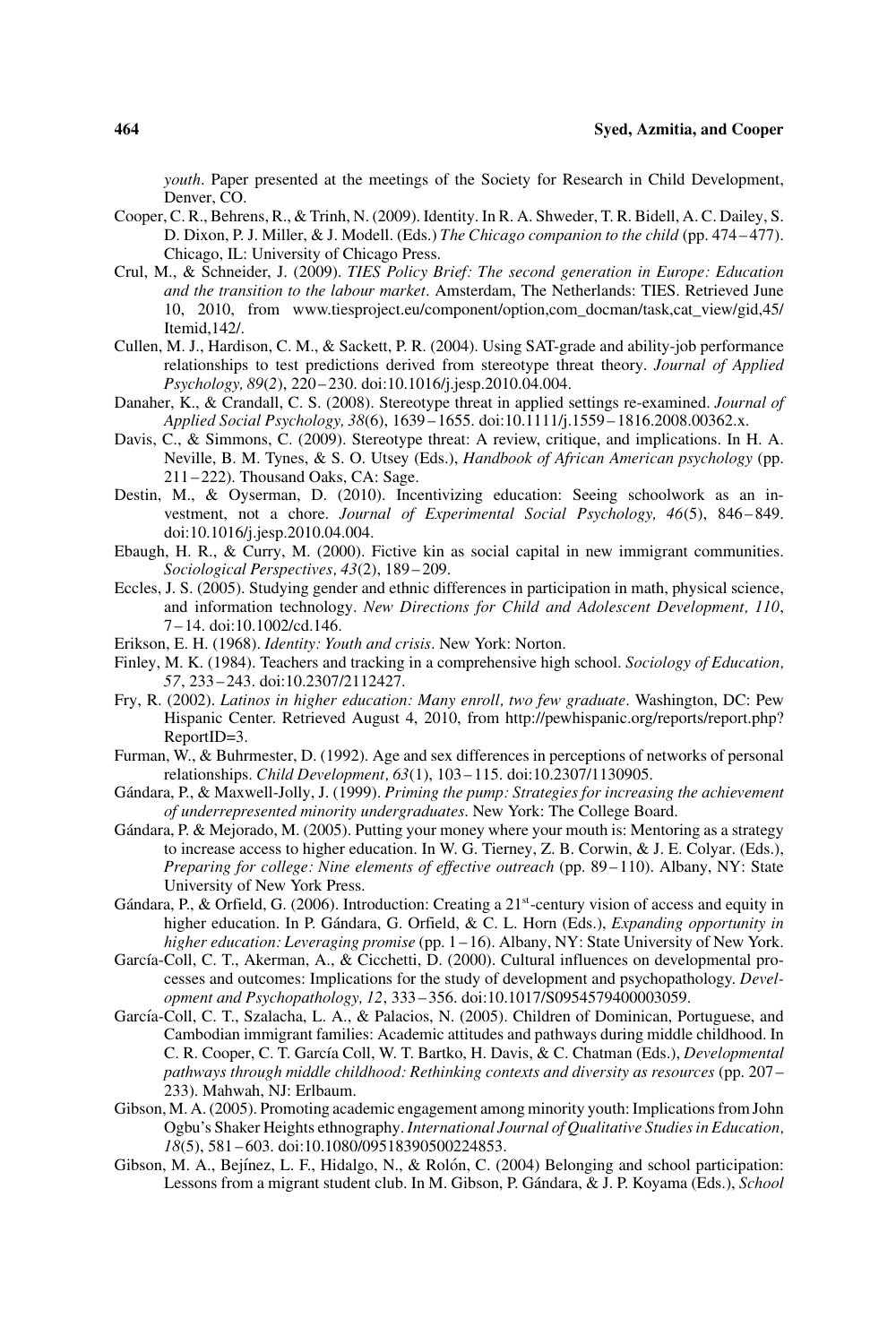*youth*. Paper presented at the meetings of the Society for Research in Child Development, Denver, CO.

- Cooper, C. R., Behrens, R., & Trinh, N. (2009). Identity. In R. A. Shweder, T. R. Bidell, A. C. Dailey, S. D. Dixon, P. J. Miller, & J. Modell. (Eds.) *The Chicago companion to the child* (pp. 474 – 477). Chicago, IL: University of Chicago Press.
- Crul, M., & Schneider, J. (2009). *TIES Policy Brief: The second generation in Europe: Education and the transition to the labour market*. Amsterdam, The Netherlands: TIES. Retrieved June 10, 2010, from www.tiesproject.eu/component/option,com\_docman/task,cat\_view/gid,45/ Itemid,142/.
- Cullen, M. J., Hardison, C. M., & Sackett, P. R. (2004). Using SAT-grade and ability-job performance relationships to test predictions derived from stereotype threat theory. *Journal of Applied Psychology, 89*(*2*), 220 – 230. doi:10.1016/j.jesp.2010.04.004.
- Danaher, K., & Crandall, C. S. (2008). Stereotype threat in applied settings re-examined. *Journal of Applied Social Psychology, 38*(6), 1639 – 1655. doi:10.1111/j.1559 – 1816.2008.00362.x.
- Davis, C., & Simmons, C. (2009). Stereotype threat: A review, critique, and implications. In H. A. Neville, B. M. Tynes, & S. O. Utsey (Eds.), *Handbook of African American psychology* (pp. 211 – 222). Thousand Oaks, CA: Sage.
- Destin, M., & Oyserman, D. (2010). Incentivizing education: Seeing schoolwork as an investment, not a chore. *Journal of Experimental Social Psychology, 46*(5), 846 – 849. doi:10.1016/j.jesp.2010.04.004.
- Ebaugh, H. R., & Curry, M. (2000). Fictive kin as social capital in new immigrant communities. *Sociological Perspectives, 43*(2), 189 – 209.
- Eccles, J. S. (2005). Studying gender and ethnic differences in participation in math, physical science, and information technology. *New Directions for Child and Adolescent Development, 110*, 7 – 14. doi:10.1002/cd.146.
- Erikson, E. H. (1968). *Identity: Youth and crisis*. New York: Norton.
- Finley, M. K. (1984). Teachers and tracking in a comprehensive high school. *Sociology of Education, 57*, 233 – 243. doi:10.2307/2112427.
- Fry, R. (2002). *Latinos in higher education: Many enroll, two few graduate*. Washington, DC: Pew Hispanic Center. Retrieved August 4, 2010, from http://pewhispanic.org/reports/report.php? ReportID=3.
- Furman, W., & Buhrmester, D. (1992). Age and sex differences in perceptions of networks of personal relationships. *Child Development, 63*(1), 103 – 115. doi:10.2307/1130905.
- Gándara, P., & Maxwell-Jolly, J. (1999). *Priming the pump: Strategies for increasing the achievement of underrepresented minority undergraduates*. New York: The College Board.
- Gándara, P. & Mejorado, M. (2005). Putting your money where your mouth is: Mentoring as a strategy to increase access to higher education. In W. G. Tierney, Z. B. Corwin, & J. E. Colyar. (Eds.), *Preparing for college: Nine elements of effective outreach* (pp. 89 – 110). Albany, NY: State University of New York Press.
- Gándara, P., & Orfield, G. (2006). Introduction: Creating a  $21<sup>st</sup>$ -century vision of access and equity in higher education. In P. Gándara, G. Orfield, & C. L. Horn (Eds.), *Expanding opportunity in higher education: Leveraging promise* (pp. 1 – 16). Albany, NY: State University of New York.
- García-Coll, C. T., Akerman, A., & Cicchetti, D. (2000). Cultural influences on developmental processes and outcomes: Implications for the study of development and psychopathology. *Development and Psychopathology, 12*, 333 – 356. doi:10.1017/S0954579400003059.
- García-Coll, C. T., Szalacha, L. A., & Palacios, N. (2005). Children of Dominican, Portuguese, and Cambodian immigrant families: Academic attitudes and pathways during middle childhood. In C. R. Cooper, C. T. Garc´ıa Coll, W. T. Bartko, H. Davis, & C. Chatman (Eds.), *Developmental pathways through middle childhood: Rethinking contexts and diversity as resources* (pp. 207 – 233). Mahwah, NJ: Erlbaum.
- Gibson, M. A. (2005). Promoting academic engagement among minority youth: Implications from John Ogbu's Shaker Heights ethnography. *International Journal of Qualitative Studies in Education, 18*(5), 581 – 603. doi:10.1080/09518390500224853.
- Gibson, M. A., Bejínez, L. F., Hidalgo, N., & Rolón, C. (2004) Belonging and school participation: Lessons from a migrant student club. In M. Gibson, P. Gándara, & J. P. Koyama (Eds.), *School*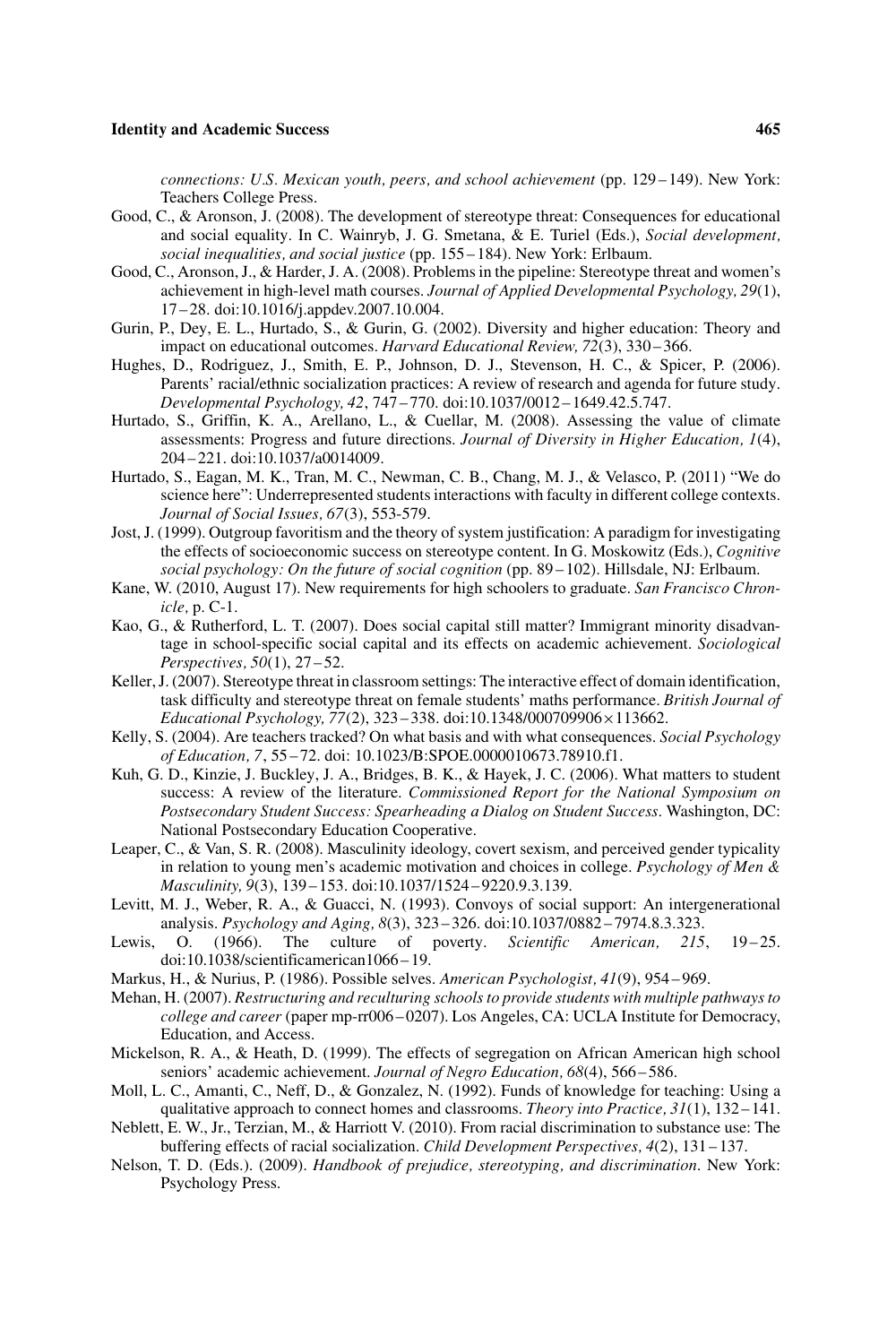*connections: U.S. Mexican youth, peers, and school achievement* (pp. 129 – 149). New York: Teachers College Press.

- Good, C., & Aronson, J. (2008). The development of stereotype threat: Consequences for educational and social equality. In C. Wainryb, J. G. Smetana, & E. Turiel (Eds.), *Social development, social inequalities, and social justice* (pp. 155 – 184). New York: Erlbaum.
- Good, C., Aronson, J., & Harder, J. A. (2008). Problems in the pipeline: Stereotype threat and women's achievement in high-level math courses. *Journal of Applied Developmental Psychology, 29*(1), 17 – 28. doi:10.1016/j.appdev.2007.10.004.
- Gurin, P., Dey, E. L., Hurtado, S., & Gurin, G. (2002). Diversity and higher education: Theory and impact on educational outcomes. *Harvard Educational Review, 72*(3), 330 – 366.
- Hughes, D., Rodriguez, J., Smith, E. P., Johnson, D. J., Stevenson, H. C., & Spicer, P. (2006). Parents' racial/ethnic socialization practices: A review of research and agenda for future study. *Developmental Psychology, 42*, 747 – 770. doi:10.1037/0012 – 1649.42.5.747.
- Hurtado, S., Griffin, K. A., Arellano, L., & Cuellar, M. (2008). Assessing the value of climate assessments: Progress and future directions. *Journal of Diversity in Higher Education, 1*(4), 204 – 221. doi:10.1037/a0014009.
- Hurtado, S., Eagan, M. K., Tran, M. C., Newman, C. B., Chang, M. J., & Velasco, P. (2011) "We do science here": Underrepresented students interactions with faculty in different college contexts. *Journal of Social Issues, 67*(3), 553-579.
- Jost, J. (1999). Outgroup favoritism and the theory of system justification: A paradigm for investigating the effects of socioeconomic success on stereotype content. In G. Moskowitz (Eds.), *Cognitive social psychology: On the future of social cognition* (pp. 89 – 102). Hillsdale, NJ: Erlbaum.
- Kane, W. (2010, August 17). New requirements for high schoolers to graduate. *San Francisco Chronicle,* p. C-1.
- Kao, G., & Rutherford, L. T. (2007). Does social capital still matter? Immigrant minority disadvantage in school-specific social capital and its effects on academic achievement. *Sociological Perspectives, 50*(1), 27 – 52.
- Keller, J. (2007). Stereotype threat in classroom settings: The interactive effect of domain identification, task difficulty and stereotype threat on female students' maths performance. *British Journal of Educational Psychology, 77*(2), 323 – 338. doi:10.1348/000709906×113662.
- Kelly, S. (2004). Are teachers tracked? On what basis and with what consequences. *Social Psychology of Education, 7*, 55 – 72. doi: 10.1023/B:SPOE.0000010673.78910.f1.
- Kuh, G. D., Kinzie, J. Buckley, J. A., Bridges, B. K., & Hayek, J. C. (2006). What matters to student success: A review of the literature. *Commissioned Report for the National Symposium on Postsecondary Student Success: Spearheading a Dialog on Student Success*. Washington, DC: National Postsecondary Education Cooperative.
- Leaper, C., & Van, S. R. (2008). Masculinity ideology, covert sexism, and perceived gender typicality in relation to young men's academic motivation and choices in college. *Psychology of Men & Masculinity, 9*(3), 139 – 153. doi:10.1037/1524 – 9220.9.3.139.
- Levitt, M. J., Weber, R. A., & Guacci, N. (1993). Convoys of social support: An intergenerational analysis. *Psychology and Aging, 8*(3), 323 – 326. doi:10.1037/0882 – 7974.8.3.323.
- Lewis, O. (1966). The culture of poverty. *Scientific American*, 215, 19-25. doi:10.1038/scientificamerican1066 – 19.
- Markus, H., & Nurius, P. (1986). Possible selves. *American Psychologist, 41*(9), 954 969.
- Mehan, H. (2007). *Restructuring and reculturing schools to provide students with multiple pathways to college and career* (paper mp-rr006 – 0207). Los Angeles, CA: UCLA Institute for Democracy, Education, and Access.
- Mickelson, R. A., & Heath, D. (1999). The effects of segregation on African American high school seniors' academic achievement. *Journal of Negro Education*, 68(4), 566-586.
- Moll, L. C., Amanti, C., Neff, D., & Gonzalez, N. (1992). Funds of knowledge for teaching: Using a qualitative approach to connect homes and classrooms. *Theory into Practice, 31*(1), 132 – 141.
- Neblett, E. W., Jr., Terzian, M., & Harriott V. (2010). From racial discrimination to substance use: The buffering effects of racial socialization. *Child Development Perspectives, 4*(2), 131 – 137.
- Nelson, T. D. (Eds.). (2009). *Handbook of prejudice, stereotyping, and discrimination*. New York: Psychology Press.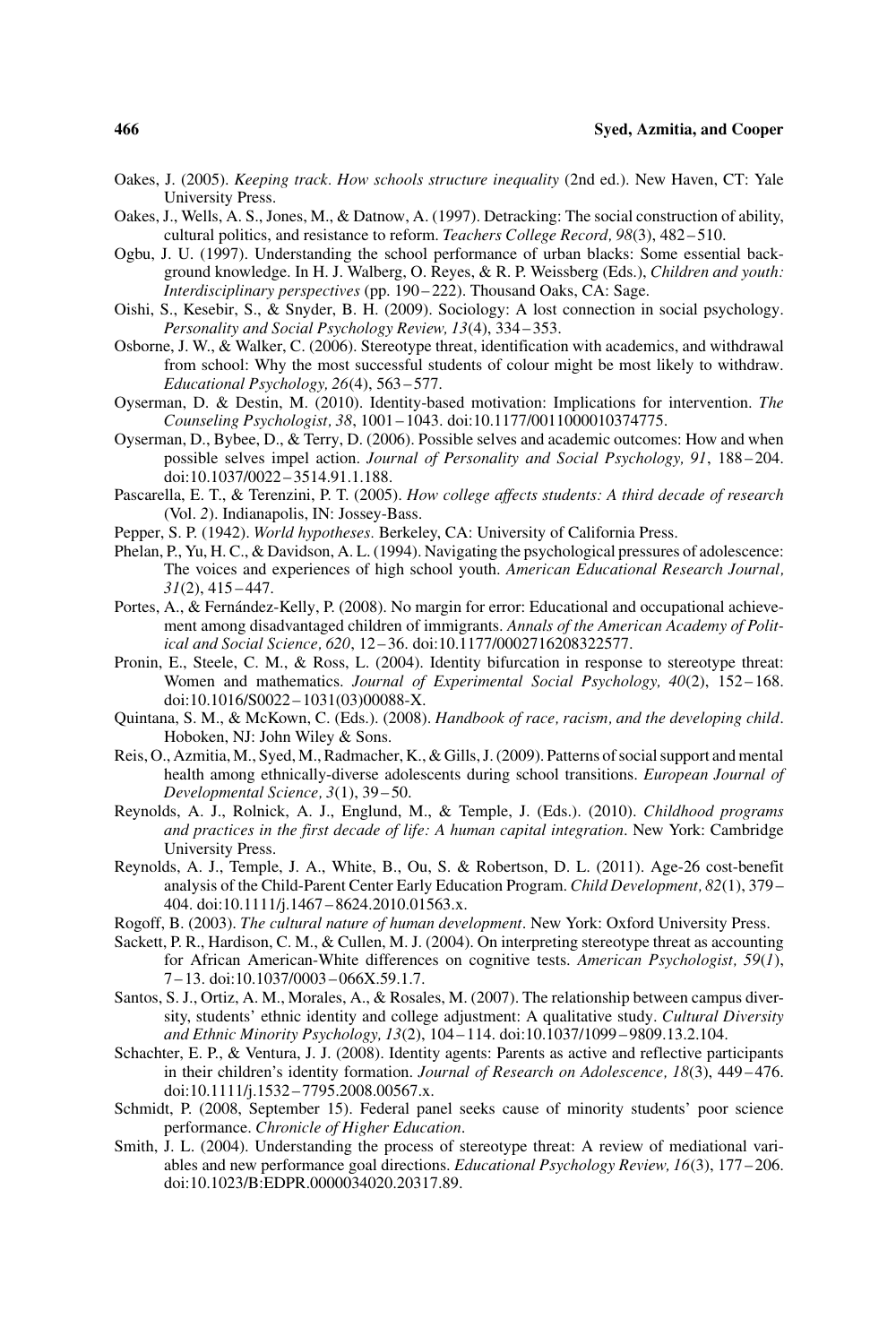### **466 Syed, Azmitia, and Cooper**

- Oakes, J. (2005). *Keeping track. How schools structure inequality* (2nd ed.). New Haven, CT: Yale University Press.
- Oakes, J., Wells, A. S., Jones, M., & Datnow, A. (1997). Detracking: The social construction of ability, cultural politics, and resistance to reform. *Teachers College Record*, 98(3), 482-510.
- Ogbu, J. U. (1997). Understanding the school performance of urban blacks: Some essential background knowledge. In H. J. Walberg, O. Reyes, & R. P. Weissberg (Eds.), *Children and youth: Interdisciplinary perspectives* (pp. 190–222). Thousand Oaks, CA: Sage.
- Oishi, S., Kesebir, S., & Snyder, B. H. (2009). Sociology: A lost connection in social psychology. *Personality and Social Psychology Review, 13*(4), 334 – 353.
- Osborne, J. W., & Walker, C. (2006). Stereotype threat, identification with academics, and withdrawal from school: Why the most successful students of colour might be most likely to withdraw. *Educational Psychology, 26*(4), 563 – 577.
- Oyserman, D. & Destin, M. (2010). Identity-based motivation: Implications for intervention. *The Counseling Psychologist, 38*, 1001 – 1043. doi:10.1177/0011000010374775.
- Oyserman, D., Bybee, D., & Terry, D. (2006). Possible selves and academic outcomes: How and when possible selves impel action. *Journal of Personality and Social Psychology, 91*, 188-204. doi:10.1037/0022 – 3514.91.1.188.
- Pascarella, E. T., & Terenzini, P. T. (2005). *How college affects students: A third decade of research* (Vol. *2*). Indianapolis, IN: Jossey-Bass.
- Pepper, S. P. (1942). *World hypotheses.* Berkeley, CA: University of California Press.
- Phelan, P., Yu, H. C., & Davidson, A. L. (1994). Navigating the psychological pressures of adolescence: The voices and experiences of high school youth. *American Educational Research Journal, 31*(2), 415 – 447.
- Portes, A., & Fernández-Kelly, P. (2008). No margin for error: Educational and occupational achievement among disadvantaged children of immigrants. *Annals of the American Academy of Political and Social Science, 620*, 12 – 36. doi:10.1177/0002716208322577.
- Pronin, E., Steele, C. M., & Ross, L. (2004). Identity bifurcation in response to stereotype threat: Women and mathematics. *Journal of Experimental Social Psychology*, 40(2), 152-168. doi:10.1016/S0022 – 1031(03)00088-X.
- Quintana, S. M., & McKown, C. (Eds.). (2008). *Handbook of race, racism, and the developing child*. Hoboken, NJ: John Wiley & Sons.
- Reis, O., Azmitia, M., Syed, M., Radmacher, K., & Gills, J. (2009). Patterns of social support and mental health among ethnically-diverse adolescents during school transitions. *European Journal of Developmental Science, 3*(1), 39 – 50.
- Reynolds, A. J., Rolnick, A. J., Englund, M., & Temple, J. (Eds.). (2010). *Childhood programs and practices in the first decade of life: A human capital integration*. New York: Cambridge University Press.
- Reynolds, A. J., Temple, J. A., White, B., Ou, S. & Robertson, D. L. (2011). Age-26 cost-benefit analysis of the Child-Parent Center Early Education Program. *Child Development, 82*(1), 379 – 404. doi:10.1111/j.1467 – 8624.2010.01563.x.
- Rogoff, B. (2003). *The cultural nature of human development*. New York: Oxford University Press.
- Sackett, P. R., Hardison, C. M., & Cullen, M. J. (2004). On interpreting stereotype threat as accounting for African American-White differences on cognitive tests. *American Psychologist, 59*(*1*), 7 – 13. doi:10.1037/0003 – 066X.59.1.7.
- Santos, S. J., Ortiz, A. M., Morales, A., & Rosales, M. (2007). The relationship between campus diversity, students' ethnic identity and college adjustment: A qualitative study. *Cultural Diversity and Ethnic Minority Psychology, 13*(2), 104 – 114. doi:10.1037/1099 – 9809.13.2.104.
- Schachter, E. P., & Ventura, J. J. (2008). Identity agents: Parents as active and reflective participants in their children's identity formation. *Journal of Research on Adolescence*, 18(3), 449-476. doi:10.1111/j.1532 – 7795.2008.00567.x.
- Schmidt, P. (2008, September 15). Federal panel seeks cause of minority students' poor science performance. *Chronicle of Higher Education*.
- Smith, J. L. (2004). Understanding the process of stereotype threat: A review of mediational variables and new performance goal directions. *Educational Psychology Review, 16*(3), 177 – 206. doi:10.1023/B:EDPR.0000034020.20317.89.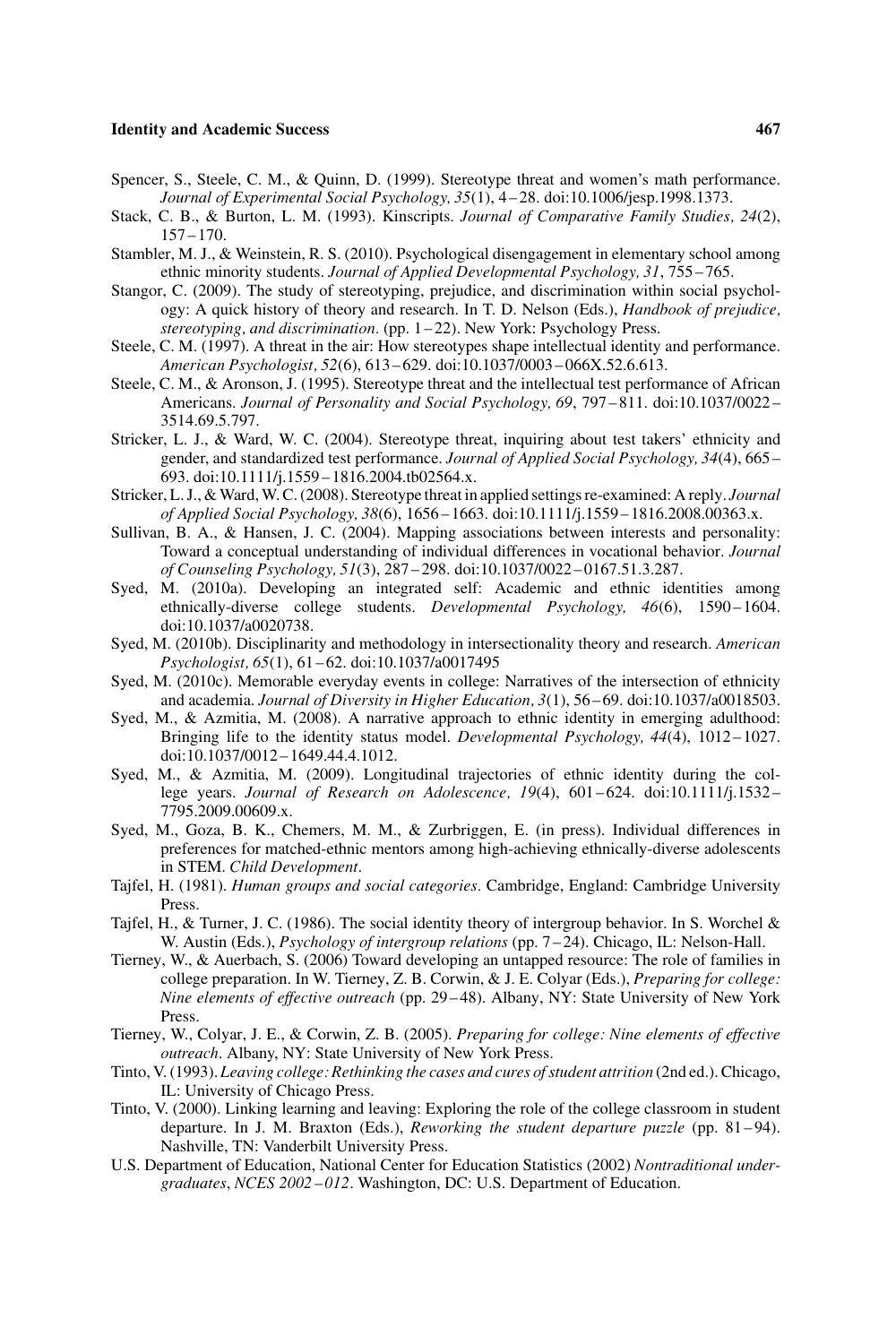- Spencer, S., Steele, C. M., & Quinn, D. (1999). Stereotype threat and women's math performance. *Journal of Experimental Social Psychology, 35*(1), 4 – 28. doi:10.1006/jesp.1998.1373.
- Stack, C. B., & Burton, L. M. (1993). Kinscripts. *Journal of Comparative Family Studies, 24*(2), 157 – 170.
- Stambler, M. J., & Weinstein, R. S. (2010). Psychological disengagement in elementary school among ethnic minority students. *Journal of Applied Developmental Psychology, 31*, 755 – 765.
- Stangor, C. (2009). The study of stereotyping, prejudice, and discrimination within social psychology: A quick history of theory and research. In T. D. Nelson (Eds.), *Handbook of prejudice, stereotyping, and discrimination.* (pp. 1 – 22). New York: Psychology Press.
- Steele, C. M. (1997). A threat in the air: How stereotypes shape intellectual identity and performance. *American Psychologist, 52*(6), 613 – 629. doi:10.1037/0003 – 066X.52.6.613.
- Steele, C. M., & Aronson, J. (1995). Stereotype threat and the intellectual test performance of African Americans. *Journal of Personality and Social Psychology, 69*, 797 – 811. doi:10.1037/0022 – 3514.69.5.797.
- Stricker, L. J., & Ward, W. C. (2004). Stereotype threat, inquiring about test takers' ethnicity and gender, and standardized test performance. *Journal of Applied Social Psychology, 34*(4), 665 – 693. doi:10.1111/j.1559 – 1816.2004.tb02564.x.
- Stricker, L. J., & Ward, W. C. (2008). Stereotype threat in applied settings re-examined: A reply. *Journal of Applied Social Psychology, 38*(6), 1656 – 1663. doi:10.1111/j.1559 – 1816.2008.00363.x.
- Sullivan, B. A., & Hansen, J. C. (2004). Mapping associations between interests and personality: Toward a conceptual understanding of individual differences in vocational behavior. *Journal of Counseling Psychology, 51*(3), 287 – 298. doi:10.1037/0022 – 0167.51.3.287.
- Syed, M. (2010a). Developing an integrated self: Academic and ethnic identities among ethnically-diverse college students. *Developmental Psychology*, 46(6), 1590-1604. doi:10.1037/a0020738.
- Syed, M. (2010b). Disciplinarity and methodology in intersectionality theory and research. *American Psychologist, 65*(1), 61 – 62. doi:10.1037/a0017495
- Syed, M. (2010c). Memorable everyday events in college: Narratives of the intersection of ethnicity and academia. *Journal of Diversity in Higher Education, 3*(1), 56 – 69. doi:10.1037/a0018503.
- Syed, M., & Azmitia, M. (2008). A narrative approach to ethnic identity in emerging adulthood: Bringing life to the identity status model. *Developmental Psychology*, 44(4), 1012–1027. doi:10.1037/0012 – 1649.44.4.1012.
- Syed, M., & Azmitia, M. (2009). Longitudinal trajectories of ethnic identity during the college years. *Journal of Research on Adolescence, 19*(4), 601 – 624. doi:10.1111/j.1532 – 7795.2009.00609.x.
- Syed, M., Goza, B. K., Chemers, M. M., & Zurbriggen, E. (in press). Individual differences in preferences for matched-ethnic mentors among high-achieving ethnically-diverse adolescents in STEM. *Child Development*.
- Tajfel, H. (1981). *Human groups and social categories.* Cambridge, England: Cambridge University Press.
- Tajfel, H., & Turner, J. C. (1986). The social identity theory of intergroup behavior. In S. Worchel & W. Austin (Eds.), *Psychology of intergroup relations* (pp. 7 – 24). Chicago, IL: Nelson-Hall.
- Tierney, W., & Auerbach, S. (2006) Toward developing an untapped resource: The role of families in college preparation. In W. Tierney, Z. B. Corwin, & J. E. Colyar (Eds.), *Preparing for college: Nine elements of effective outreach* (pp. 29 – 48). Albany, NY: State University of New York Press.
- Tierney, W., Colyar, J. E., & Corwin, Z. B. (2005). *Preparing for college: Nine elements of effective outreach*. Albany, NY: State University of New York Press.
- Tinto, V. (1993). *Leaving college: Rethinking the cases and cures of student attrition* (2nd ed.). Chicago, IL: University of Chicago Press.
- Tinto, V. (2000). Linking learning and leaving: Exploring the role of the college classroom in student departure. In J. M. Braxton (Eds.), *Reworking the student departure puzzle* (pp. 81-94). Nashville, TN: Vanderbilt University Press.
- U.S. Department of Education, National Center for Education Statistics (2002) *Nontraditional undergraduates*, *NCES 2002 – 012*. Washington, DC: U.S. Department of Education.